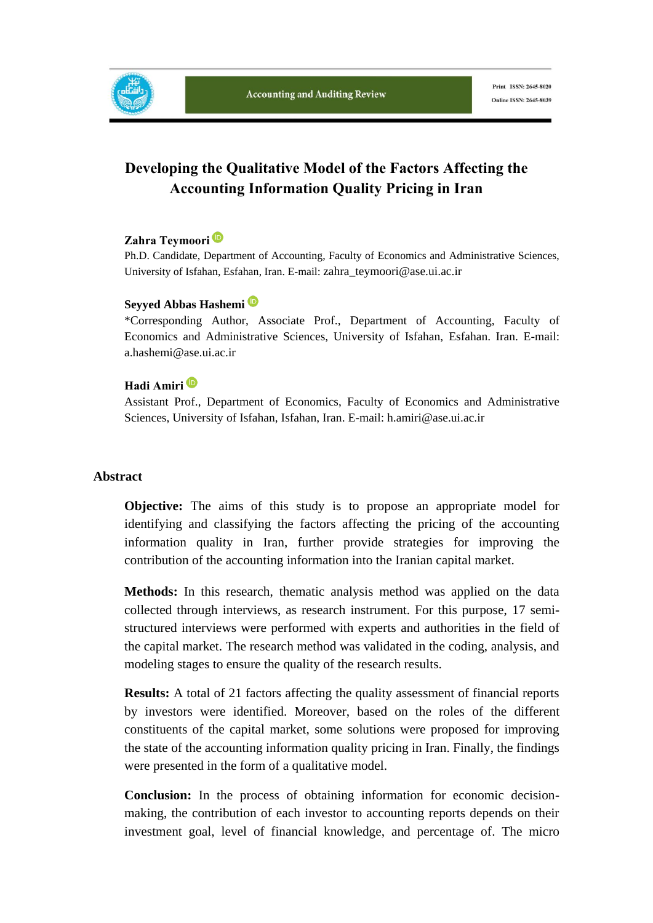

Print ISSN: 2645-8020 Online ISSN: 2645-8039

# **Developing the Qualitative Model of the Factors Affecting the Accounting Information Quality Pricing in Iran**

### **Zahra Teymoori**

Ph.D. Candidate, Department of Accounting, Faculty of Economics and Administrative Sciences, University of Isfahan, Esfahan, Iran. E-mail: zahra\_teymoori@ase.ui.ac.ir

#### **Seyyed Abbas Hashemi**

\*Corresponding Author, Associate Prof., Department of Accounting, Faculty of Economics and Administrative Sciences, University of Isfahan, Esfahan. Iran. E-mail: a.hashemi@ase.ui.ac.ir

#### **Hadi Amiri**

Assistant Prof., Department of Economics, Faculty of Economics and Administrative Sciences, University of Isfahan, Isfahan, Iran. E-mail: h.amiri@ase.ui.ac.ir

#### **Abstract**

**Objective:** The aims of this study is to propose an appropriate model for identifying and classifying the factors affecting the pricing of the accounting information quality in Iran, further provide strategies for improving the contribution of the accounting information into the Iranian capital market.

**Methods:** In this research, thematic analysis method was applied on the data collected through interviews, as research instrument. For this purpose, 17 semistructured interviews were performed with experts and authorities in the field of the capital market. The research method was validated in the coding, analysis, and modeling stages to ensure the quality of the research results.

**Results:** A total of 21 factors affecting the quality assessment of financial reports by investors were identified. Moreover, based on the roles of the different constituents of the capital market, some solutions were proposed for improving the state of the accounting information quality pricing in Iran. Finally, the findings were presented in the form of a qualitative model.

**Conclusion:** In the process of obtaining information for economic decisionmaking, the contribution of each investor to accounting reports depends on their investment goal, level of financial knowledge, and percentage of. The micro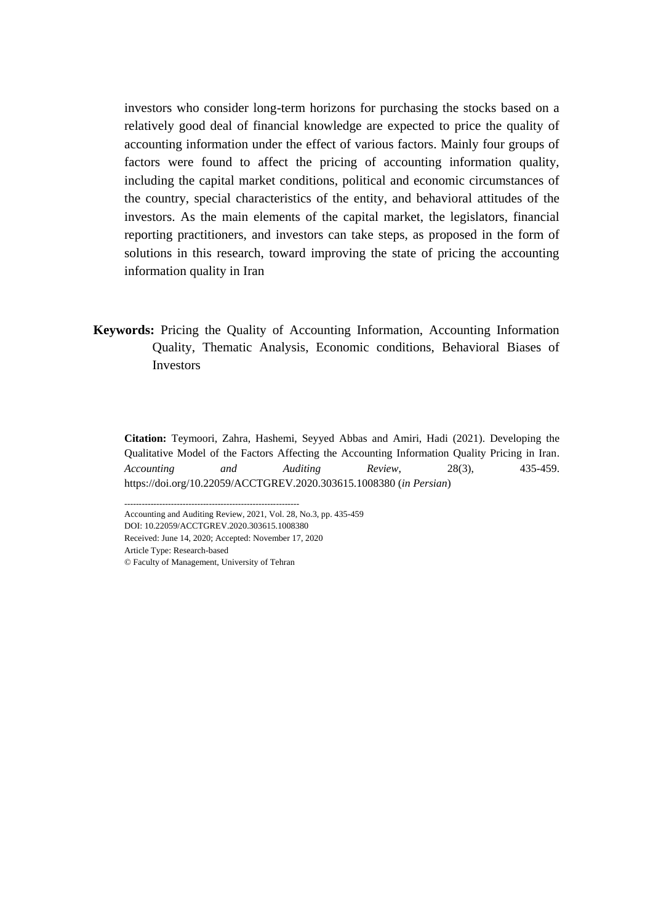investors who consider long-term horizons for purchasing the stocks based on a relatively good deal of financial knowledge are expected to price the quality of accounting information under the effect of various factors. Mainly four groups of factors were found to affect the pricing of accounting information quality, including the capital market conditions, political and economic circumstances of the country, special characteristics of the entity, and behavioral attitudes of the investors. As the main elements of the capital market, the legislators, financial reporting practitioners, and investors can take steps, as proposed in the form of solutions in this research, toward improving the state of pricing the accounting information quality in Iran

**Keywords:** Pricing the Quality of Accounting Information, Accounting Information Quality, Thematic Analysis, Economic conditions, Behavioral Biases of **Investors** 

**Citation:** Teymoori, Zahra, Hashemi, Seyyed Abbas and Amiri, Hadi (2021). Developing the Qualitative Model of the Factors Affecting the Accounting Information Quality Pricing in Iran. *Accounting and Auditing Review*, 28(3), 435-459. https://doi.org/10.22059/ACCTGREV.2020.303615.1008380 (*in Persian*)

------------------------------------------------------------ Accounting and Auditing Review, 2021, Vol. 28, No.3, pp. 435-459 DOI: 10.22059/ACCTGREV.2020.303615.1008380 Received: June 14, 2020; Accepted: November 17, 2020 Article Type: Research-based

© Faculty of Management, University of Tehran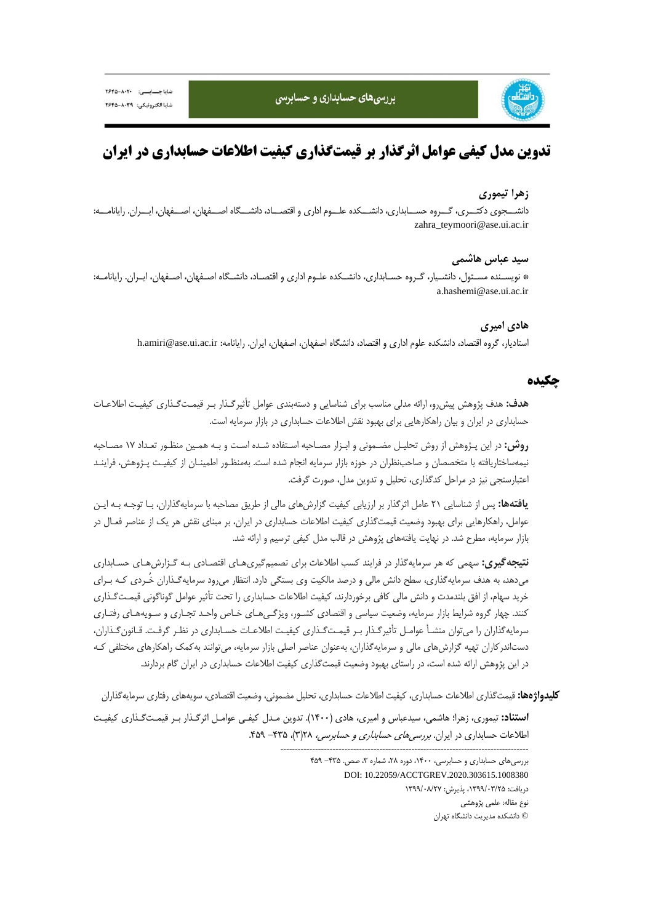

# **تدوين مدل كيفي عوامل اثرگذار بر قيمتگذاري كيفيت اطلاعات حسابداري در ايران**

#### **زهرا تيموري**

دانشـــجوي دكتـــري، گـــروه حســـابداري، دانشـــكده علـــوم اداري و اقتصـــاد، دانشـــگاه اصـــفهان، اصـــفهان، ايـــران. رايانامـــه: zahra\_teymoori@ase.ui.ac.ir

#### **سيد عباس هاشمي**

\* نويسـنده مسـئول، دانشـيار، گـروه حسـابداري، دانشـكده علـوم اداري و اقتصـاد، دانشـگاه اصـفهان، اصـفهان، ايـران. رايانامـه: a.hashemi@ase.ui.ac.ir

#### **هادي اميري**

استاديار، گروه اقتصاد، دانشكده علوم اداري و اقتصاد، دانشگاه اصفهان، اصفهان، ايران. رايانامه: h.amiri@ase.ui.ac.ir

### **چكيده**

**هدف:** هدف پژوهش پيشرو، ارائه مدلي مناسب براي شناسايي و دستهبندي عوامل تأثيرگـذار بـر قيمـتگـذاري كيفيـت اطلاعـات حسابداري در ايران و بيان راهكارهايي براي بهبود نقش اطلاعات حسابداري در بازار سرمايه است.

**روش:** در اين پـژوهش از روش تحليـل مضـموني و ابـزار مصـاحبه اسـتفاده شـده اسـت و بـه همـين منظـور تعـداد 17 مصـاحبه نيمهساختاريافته با متخصصان و صاحبنظران در حوزه بازار سرمايه انجام شده است. بهمنظـور اطمينـان از كيفيـت پـژوهش، فراينـد اعتبارسنجي نيز در مراحل كدگذاري، تحليل و تدوين مدل، صورت گرفت.

**يافتهها:** پس از شناسايي 21 عامل اثرگذار بر ارزيابي كيفيت گزارشهاي مالي از طريق مصاحبه با سرمايهگذاران، بـا توجـه بـه ايـن عوامل، راهكارهايي براي بهبود وضعيت قيمتگذاري كيفيت اطلاعات حسابداري در ايران، بر مبناي نقش هر يك از عناصر فعـال در بازار سرمايه، مطرح شد. در نهايت يافتههاي پژوهش در قالب مدل كيفي ترسيم و ارائه شد.

**نتيجهگيري:** سهمي كه هر سرمايهگذار در فرايند كسب اطلاعات براي تصميمگيريهـاي اقتصـادي بـه گـزارشهـاي حسـابداري ميدهد، به هدف سرمايهگذاري، سطح دانش مالي و درصد مالكيت وي بستگي دارد. انتظار ميرود سرمايهگـذاران خُـردي كـه بـراي خريد سهام، از افق بلندمدت و دانش مالي كافي برخوردارند، كيفيت اطلاعات حسابداري را تحت تأثير عوامل گوناگوني قيمـتگـذاري كنند. چهار گروه شرايط بازار سرمايه، وضعيت سياسي و اقتصادي كشـور، ويژگـيهـاي خـاص واحـد تجـاري و سـويههـاي رفتـاري سرمايهگذاران را ميتوان منشـأ عوامـل تأثيرگـذار بـر قيمـتگـذاري كيفيـت اطلاعـات حسـابداري در نظـر گرفـت. قـانونگـذاران، دستاندركاران تهيه گزارشهاي مالي و سرمايهگذاران، بهعنوان عناصر اصلي بازار سرمايه، ميتوانند بهكمك راهكارهاي مختلفي كـه در اين پژوهش ارائه شده است، در راستاي بهبود وضعيت قيمتگذاري كيفيت اطلاعات حسابداري در ايران گام بردارند.

**كليدواژهها:** قيمتگذاري اطلاعات حسابداري، كيفيت اطلاعات حسابداري، تحليل مضموني، وضعيت اقتصادي، سويههاي رفتاري سرمايهگذاران **استناد:** تيموري، زهرا؛ هاشمي، سيدعباس و اميري، هادي (1400). تدوين مـدل كيفـي عوامـل اثرگـذار بـر قيمـتگـذاري كيفيـت

> ------------------------------------------------------------------------------------- بررسي هاي حسابداري و حسابرسي، ١۴٠٠، دوره ٢٨، شماره ٣، صص. ٣٣۵- ۴۵٩ DOI: 10.22059/ACCTGREV.2020.303615.1008380 دريافت: ،1399/03/25 پذيرش: 1399/08/27 نوع مقاله: علمي پژوهشي

اطلاعات حسابداري در ايران. بررسيهاي حسابداري <sup>و</sup> حسابرسي، 28(3)، -435 .459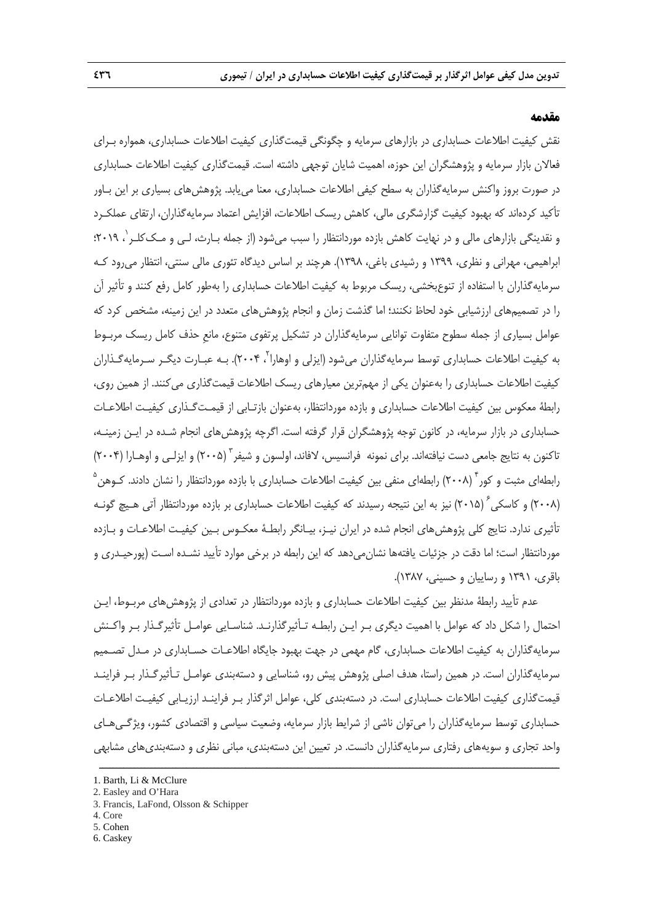#### **مقدمه**

نقش كيفيت اطلاعات حسابداري در بازارهاي سرمايه و چگونگي قيمتگذاري كيفيت اطلاعات حسابداري، همواره بـراي فعالان بازار سرمايه و پژوهشگران اين حوزه، اهميت شايان توجهي داشته است. قيمتگذاري كيفيت اطلاعات حسابداري در صورت بروز واكنش سرمايهگذاران به سطح كيفي اطلاعات حسابداري، معنا مييابد. پژوهشهاي بسياري بر اين بـاور تأكيد كردهاند كه بهبود كيفيت گزارشگري مالي، كاهش ريسك اطلاعات، افزايش اعتماد سرمايهگذاران، ارتقاي عملكـرد و نقدینگی بازارهای مالی و در نهایت کاهش بازده موردانتظار را سبب میشود (از جمله بـارث، لـی و مـک کلـر ٰ، ۲۰۱۹؛ ابراهيمي، مهراني و نظري، 1399 و رشيدي باغي، 1398). هرچند بر اساس ديدگاه تئوري مالي سنتي، انتظار ميرود كـه سرمايهگذاران با استفاده از تنوعبخشي، ريسك مربوط به كيفيت اطلاعات حسابداري را بهطور كامل رفع كنند و تأثير آن را در تصميمهاي ارزشيابي خود لحاظ نكنند؛ اما گذشت زمان و انجام پژوهشهاي متعدد در اين زمينه، مشخص كرد كه عوامل بسياري از جمله سطوح متفاوت توانايي سرمايهگذاران در تشكيل پرتفوي متنوع، مانعِ حذف كامل ريسك مربـوط به کیفیت اطلاعات حسابداری توسط سرمایهگذاران میشود (ایزلی و اوهارا<sup>۲</sup>، ۲۰۰۴). بـه عبـارت دیگـر سـرمایهگـذاران كيفيت اطلاعات حسابداري را بهعنوان يكي از مهمترين معيارهاي ريسك اطلاعات قيمتگذاري ميكنند. از همين روي، رابطة معكوس بين كيفيت اطلاعات حسابداري و بازده مورد انتظار، بهعنوان بازتـابي از قيمـتگـذاري كيفيـت اطلاعـات حسابداري در بازار سرمايه، در كانون توجه پژوهشگران قرار گرفته است. اگرچه پژوهشهاي انجام شـده در ايـن زمينـه، تاكنون به نتايج جامعي دست نيافتهاند. براي نمونه فرانسيس، لافاند، اولسون و شيفر ` (٢٠٠۵) و ايزلـي و اوهـارا (٢٠٠۴) رابطهای مثبت و کور<sup>۴</sup> (۲۰۰۸) رابطهای منفی بین کیفیت اطلاعات حسابداری با بازده موردانتظار را نشان دادند. کـوهن<sup>۵</sup> (٢٠٠٨) و كاسكي ´ (٢٠١۵) نيز به اين نتيجه رسيدند كه كيفيت اطلاعات حسابداري بر بازده موردانتظار آتي هـيچ گونـه تأثيري ندارد. نتايج كلي پژوهشهاي انجام شده در ايران نيـز، بيـانگر رابطـة معكـوس بـين كيفيـت اطلاعـات و بـازده موردانتظار است؛ اما دقت در جزئيات يافتهها نشانميدهد كه اين رابطه در برخي موارد تأييد نشـده اسـت (پورحيـدري و باقري، 1391 و رساييان و حسيني، 1387).

عدم تأييد رابطة مدنظر بين كيفيت اطلاعات حسابداري و بازده موردانتظار در تعدادي از پژوهشهاي مربـوط، ايـن احتمال را شكل داد كه عوامل با اهميت ديگري بـر ايـن رابطـه تـأثيرگذارنـد. شناسـايي عوامـل تأثيرگـذار بـر واكـنش سرمايهگذاران به كيفيت اطلاعات حسابداري، گام مهمي در جهت بهبود جايگاه اطلاعـات حسـابداري در مـدل تصـميم سرمايهگذاران است. در همين راستا، هدف اصلي پژوهش پيش رو، شناسايي و دستهبندي عوامـل تـأثيرگـذار بـر فراينـد قيمتگذاري كيفيت اطلاعات حسابداري است. در دستهبندي كلي، عوامل اثرگذار بـر فراينـد ارزيـابي كيفيـت اطلاعـات حسابداري توسط سرمايهگذاران را ميتوان ناشي از شرايط بازار سرمايه، وضعيت سياسي و اقتصادي كشور، ويژگـيهـاي واحد تجاري و سويههاي رفتاري سرمايهگذاران دانست. در تعيين اين دستهبندي، مباني نظري و دستهبنديهاي مشابهي

ــــــــــــــــــــــــــــــــــــــــــــــــــــــــــــــــــــــــــــــــــــــــــــــــــــــــــــــــــــــــــــــــــــ

2. Easley and O'Hara

- 4. Core
- 5 . Cohen
- 6. Caskey

<sup>1.</sup> Barth, Li & McClure

<sup>3.</sup> Francis, LaFond, Olsson & Schipper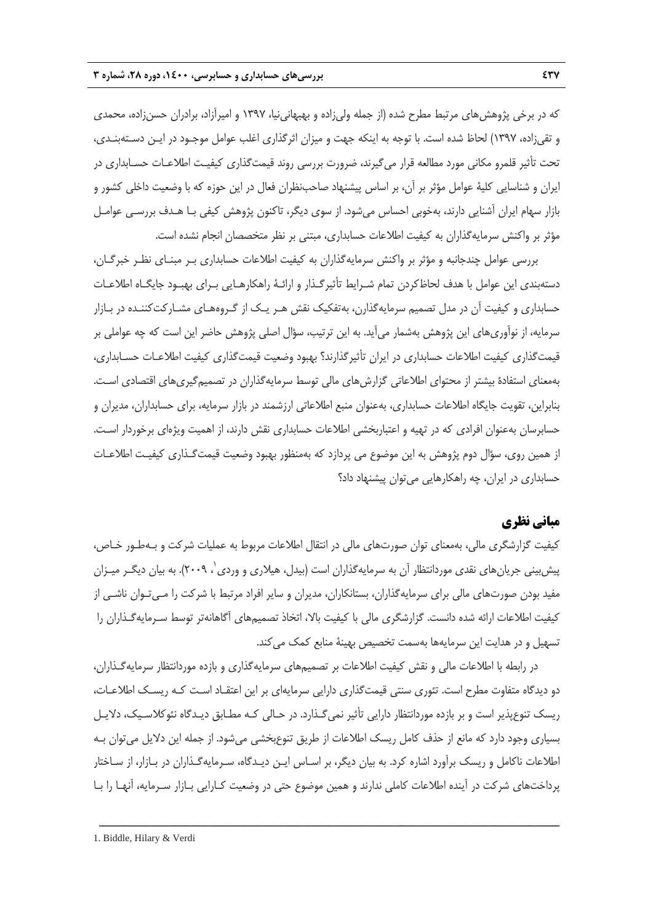كه در برخي پژوهشهاي مرتبط مطرح شده (از جمله وليزاده و بهبهانينيا، 1397 و اميرآزاد، برادران حسنزاده، محمدي و تقيزاده، 1397) لحاظ شده است. با توجه به اينكه جهت و ميزان اثرگذاري اغلب عوامل موجـود در ايـن دسـتهبنـدي، تحت تأثير قلمرو مكاني مورد مطالعه قرار ميگيرند، ضرورت بررسي روند قيمتگذاري كيفيـت اطلاعـات حسـابداري در ايران و شناسايي كلية عوامل مؤثر بر آن، بر اساس پيشنهاد صاحبنظران فعال در اين حوزه كه با وضعيت داخلي كشور و بازار سهام ايران آشنايي دارند، بهخوبي احساس ميشود. از سوي ديگر، تاكنون پژوهش كيفي بـا هـدف بررسـي عوامـل مؤثر بر واكنش سرمايهگذاران به كيفيت اطلاعات حسابداري، مبتني بر نظر متخصصان انجام نشده است.

بررسي عوامل چندجانبه و مؤثر بر واكنش سرمايهگذاران به كيفيت اطلاعات حسابداري بـر مبنـاي نظـر خبرگـان، دستهبندي اين عوامل با هدف لحاظكردن تمام شـرايط تأثيرگـذار و ارائـة راهكارهـايي بـراي بهبـود جايگـاه اطلاعـات حسابداري و كيفيت آن در مدل تصميم سرمايهگذارن، بهتفكيك نقش هـر يـك از گـروههـاي مشـاركتكننـده در بـازار سرمايه، از نوآوريهاي اين پژوهش بهشمار ميآيد. به اين ترتيب، سؤال اصلي پژوهش حاضر اين است كه چه عواملي بر قيمتگذاري كيفيت اطلاعات حسابداري در ايران تأثيرگذارند؟ بهبود وضعيت قيمتگذاري كيفيت اطلاعـات حسـابداري، بهمعناي استفادة بيشتر از محتواي اطلاعاتي گزارشهاي مالي توسط سرمايهگذاران در تصميمگيريهاي اقتصادي اسـت. بنابراين، تقويت جايگاه اطلاعات حسابداري، بهعنوان منبع اطلاعاتي ارزشمند در بازار سرمايه، براي حسابداران، مديران و حسابرسان بهعنوان افرادي كه در تهيه و اعتباربخشي اطلاعات حسابداري نقش دارند، از اهميت ويژهاي برخوردار اسـت. از همين روي، سؤال دوم پژوهش به اين موضوع مي پردازد كه بهمنظور بهبود وضعيت قيمتگـذاري كيفيـت اطلاعـات حسابداري در ايران، چه راهكارهايي ميتوان پيشنهاد داد؟

# **مباني نظري**

كيفيت گزارشگري مالي، بهمعناي توان صورتهاي مالي در انتقال اطلاعات مربوط به عمليات شركت و بـهطـور خـاص، پيش بيني جريان هاي نقدي موردانتظار آن به سرمايه گذاران است (بيدل، هيلاري و وردي بي ٢٠٠٩). به بيان ديگـر ميـزان مفيد بودن صورتهاي مالي براي سرمايهگذاران، بستانكاران، مديران و ساير افراد مرتبط با شركت را مـيتـوان ناشـي از كيفيت اطلاعات ارائه شده دانست. گزارشگري مالي با كيفيت بالا، اتخاذ تصميمهاي آگاهانهتر توسط سـرمايهگـذاران را تسهيل و در هدايت اين سرمايهها بهسمت تخصيص بهينة منابع كمك مي كند.

در رابطه با اطلاعات مالي و نقش كيفيت اطلاعات بر تصميمهاي سرمايهگذاري و بازده موردانتظار سرمايهگـذاران، دو ديدگاه متفاوت مطرح است. تئوري سنتي قيمتگذاري دارايي سرمايهاي بر اين اعتقـاد اسـت كـه ريسـك اطلاعـات، ريسك تنوعپذير است و بر بازده موردانتظار دارايي تأثير نميگـذارد. در حـالي كـه مطـابق ديـدگاه نئوكلاسـيك، دلايـل بسياري وجود دارد كه مانع از حذف كامل ريسك اطلاعات از طريق تنوعبخشي ميشود. از جمله اين دلايل ميتوان بـه اطلاعات ناكامل و ريسك برآورد اشاره كرد. به بيان ديگر، بر اسـاس ايـن ديـدگاه، سـرمايهگـذاران در بـازار، از سـاختار پرداختهاي شركت در آينده اطلاعات كاملي ندارند و همين موضوع حتي در وضعيت كـارايي بـازار سـرمايه، آنهـا را بـا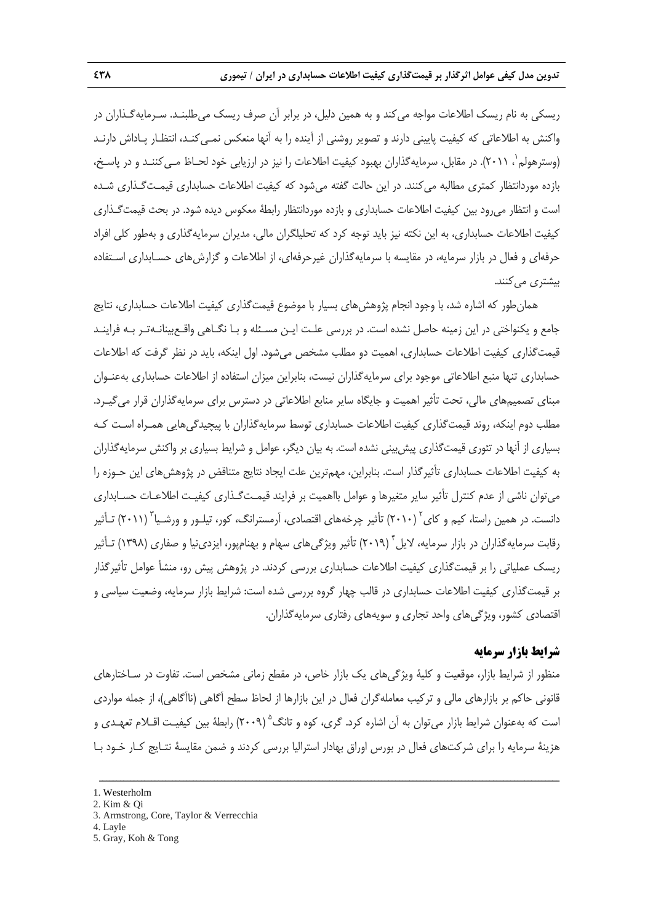ريسكي به نام ريسك اطلاعات مواجه ميكند و به همين دليل، در برابر آن صرف ريسك ميطلبنـد. سـرمايهگـذاران در واكنش به اطلاعاتي كه كيفيت پاييني دارند و تصوير روشني از آينده را به آنها منعكس نمـيكنـد، انتظـار پـاداش دارنـد (وسترهولم`، ۲۰۱۱). در مقابل، سرمايهگذاران بهبود كيفيت اطلاعات را نيز در ارزيابي خود لحـاظ مـيكننـد و در پاسـخ، بازده موردانتظار كمتري مطالبه ميكنند. در اين حالت گفته ميشود كه كيفيت اطلاعات حسابداري قيمـتگـذاري شـده است و انتظار ميرود بين كيفيت اطلاعات حسابداري و بازده موردانتظار رابطة معكوس ديده شود. در بحث قيمتگـذاري كيفيت اطلاعات حسابداري، به اين نكته نيز بايد توجه كرد كه تحليلگران مالي، مديران سرمايهگذاري و بهطور كلي افراد حرفهاي و فعال در بازار سرمايه، در مقايسه با سرمايهگذاران غيرحرفهاي، از اطلاعات و گزارشهاي حسـابداري اسـتفاده بيشتري مي كنند.

همانطور كه اشاره شد، با وجود انجام پژوهشهاي بسيار با موضوع قيمتگذاري كيفيت اطلاعات حسابداري، نتايج جامع و يكنواختي در اين زمينه حاصل نشده است. در بررسي علـت ايـن مسـئله و بـا نگـاهي واقـعبينانـهتـر بـه فراينـد قيمتگذاري كيفيت اطلاعات حسابداري، اهميت دو مطلب مشخص ميشود. اول اينكه، بايد در نظر گرفت كه اطلاعات حسابداري تنها منبع اطلاعاتي موجود براي سرمايهگذاران نيست، بنابراين ميزان استفاده از اطلاعات حسابداري بهعنـوان مبناي تصميمهاي مالي، تحت تأثير اهميت و جايگاه ساير منابع اطلاعاتي در دسترس براي سرمايهگذاران قرار ميگيـرد. مطلب دوم اينكه، روند قيمتگذاري كيفيت اطلاعات حسابداري توسط سرمايهگذاران با پيچيدگيهايي همـراه اسـت كـه بسياري از آنها در تئوري قيمتگذاري پيشبيني نشده است. به بيان ديگر، عوامل و شرايط بسياري بر واكنش سرمايهگذاران به كيفيت اطلاعات حسابداري تأثيرگذار است. بنابراين، مهمترين علت ايجاد نتايج متناقض در پژوهشهاي اين حـوزه را ميتوان ناشي از عدم كنترل تأثير ساير متغيرها و عوامل بااهميت بر فرايند قيمـتگـذاري كيفيـت اطلاعـات حسـابداري دانست. در همين راستا، كيم و كاي<sup>۲</sup> (۲۰۱۰) تأثير چرخههاي اقتصادي، آرمسترانگ، كور، تيلـور و ورشـيا<sup>"</sup> (۲۰۱۱) تـأثير رقابت سرمايه گذاران در بازار سرمايه، لايل<sup>۴</sup> (٢٠١٩) تأثير ويژگي هاي سهام و بهنامپور، ايزدي نيا و صفاري (١٣٩٨) تـأثير ريسك عملياتي را بر قيمتگذاري كيفيت اطلاعات حسابداري بررسي كردند. در پژوهش پيش رو، منشأ عوامل تأثيرگذار بر قيمتگذاري كيفيت اطلاعات حسابداري در قالب چهار گروه بررسي شده است: شرايط بازار سرمايه، وضعيت سياسي و اقتصادي كشور، ويژگيهاي واحد تجاري و سويههاي رفتاري سرمايهگذاران.

#### **شرايط بازار سرمايه**

منظور از شرايط بازار، موقعيت و كلية ويژگيهاي يك بازار خاص، در مقطع زماني مشخص است. تفاوت در سـاختارهاي قانوني حاكم بر بازارهاي مالي و تركيب معاملهگران فعال در اين بازارها از لحاظ سطح آگاهي (ناآگاهي)، از جمله مواردي است كه بهعنوان شرايط بازار مي توان به آن اشاره كرد. گري، كوه و تانگ<sup>۵</sup> (۲۰۰۹) رابطهٔ بين كيفيـت اقــلام تعهـدي و هزينة سرمايه را براي شركتهاي فعال در بورس اوراق بهادار استراليا بررسي كردند و ضمن مقايسة نتـايج كـار خـود بـا

- 3. Armstrong, Core, Taylor & Verrecchia
- 4. Layle
- 5. Gray, Koh & Tong

<sup>1.</sup> Westerholm

<sup>2.</sup> Kim & Qi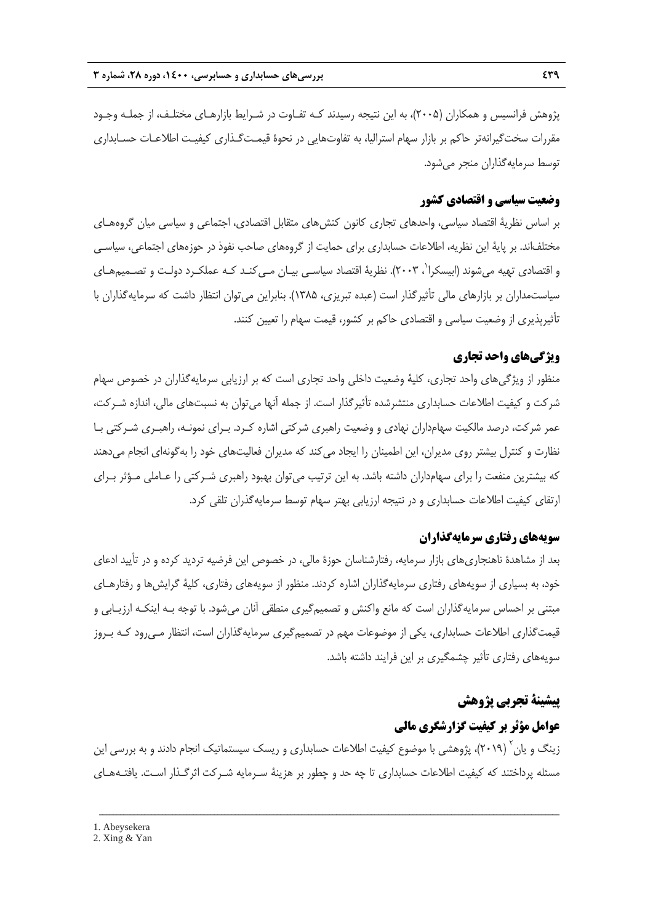پژوهش فرانسيس و همكاران (2005)، به اين نتيجه رسيدند كـه تفـاوت در شـرايط بازارهـاي مختلـف، از جملـه وجـود مقررات سختگيرانهتر حاكم بر بازار سهام استراليا، به تفاوتهايي در نحوة قيمـتگـذاري كيفيـت اطلاعـات حسـابداري توسط سرمايهگذاران منجر ميشود.

### **وضعيت سياسي و اقتصادي كشور**

بر اساس نظرية اقتصاد سياسي، واحدهاي تجاري كانون كنشهاي متقابل اقتصادي، اجتماعي و سياسي ميان گروههـاي مختلفاند. بر پاية اين نظريه، اطلاعات حسابداري براي حمايت از گروههاي صاحب نفوذ در حوزههاي اجتماعي، سياسـي و اقتصادی تهيه میشوند (ابيسكرا<sup>\</sup>، ۲۰۰۳). نظريهٔ اقتصاد سياسـي بيـان مـي2نـد كـه عملكـرد دولـت و تصـميمهـای سياستمداران بر بازارهاي مالي تأثيرگذار است (عبده تبريزي، 1385). بنابراين ميتوان انتظار داشت كه سرمايهگذاران با تأثيرپذيري از وضعيت سياسي و اقتصادي حاكم بر كشور، قيمت سهام را تعيين كنند.

### **ويژگيهاي واحد تجاري**

منظور از ويژگيهاي واحد تجاري، كلية وضعيت داخلي واحد تجاري است كه بر ارزيابي سرمايهگذاران در خصوص سهام شركت و كيفيت اطلاعات حسابداري منتشرشده تأثيرگذار است. از جمله آنها ميتوان به نسبتهاي مالي، اندازه شـركت، عمر شركت، درصد مالكيت سهامداران نهادي و وضعيت راهبري شركتي اشاره كـرد. بـراي نمونـه، راهبـري شـركتي بـا نظارت و كنترل بيشتر روي مديران، اين اطمينان را ايجاد ميكند كه مديران فعاليتهاي خود را بهگونهاي انجام ميدهند كه بيشترين منفعت را براي سهامداران داشته باشد. به اين ترتيب ميتوان بهبود راهبري شـركتي را عـاملي مـؤثر بـراي ارتقاي كيفيت اطلاعات حسابداري و در نتيجه ارزيابي بهتر سهام توسط سرمايهگذران تلقي كرد.

### **سويههاي رفتاري سرمايهگذاران**

بعد از مشاهدة ناهنجاريهاي بازار سرمايه، رفتارشناسان حوزة مالي، در خصوص اين فرضيه ترديد كرده و در تأييد ادعاي خود، به بسياري از سويههاي رفتاري سرمايهگذاران اشاره كردند. منظور از سويههاي رفتاري، كلية گرايشها و رفتارهـاي مبتني بر احساس سرمايهگذاران است كه مانع واكنش و تصميمگيري منطقي آنان ميشود. با توجه بـه اينكـه ارزيـابي و قيمتگذاري اطلاعات حسابداري، يكي از موضوعات مهم در تصميمگيري سرمايهگذاران است، انتظار مـيرود كـه بـروز سويههاي رفتاري تأثير چشمگيري بر اين فرايند داشته باشد.

### **پيشينة تجربي پژوهش**

# **عوامل مؤثر بر كيفيت گزارشگري مالي**

زينگ و پان ً (٢٠١٩)، پژوهشي با موضوع كيفيت اطلاعات حسابداري و ريسك سيستماتيک انجام دادند و به بررسي اين مسئله پرداختند كه كيفيت اطلاعات حسابداري تا چه حد و چطور بر هزينة سـرمايه شـركت اثرگـذار اسـت. يافتـههـاي

<sup>1.</sup> Abeysekera

<sup>2.</sup> Xing & Yan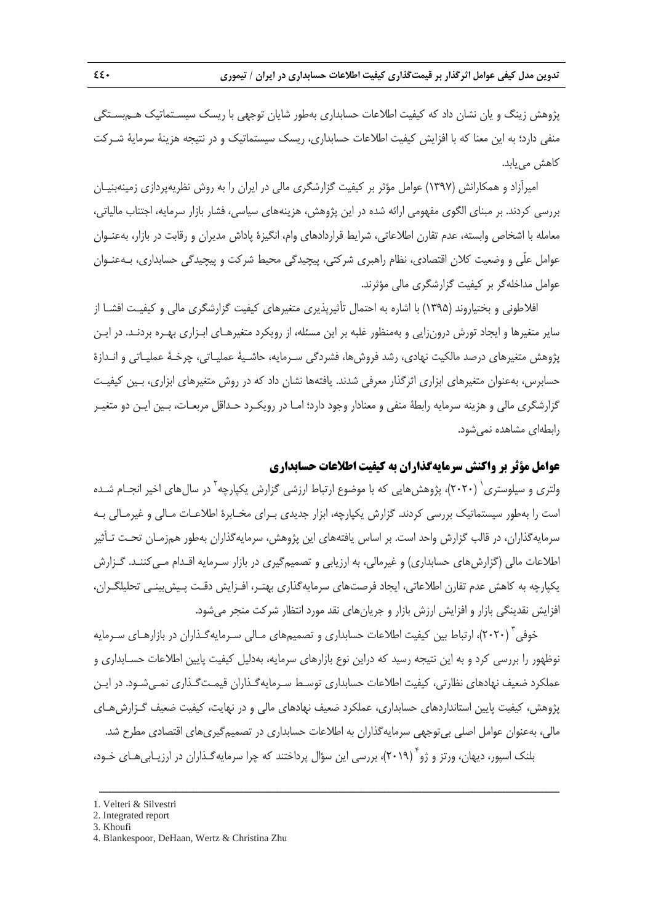پژوهش زينگ و يان نشان داد كه كيفيت اطلاعات حسابداري بهطور شايان توجهي با ريسك سيسـتماتيك هـمبسـتگي منفي دارد؛ به اين معنا كه با افزايش كيفيت اطلاعات حسابداري، ريسك سيستماتيك و در نتيجه هزينة سرماية شـركت كاهش مييابد.

اميرآزاد و همكارانش (1397) عوامل مؤثر بر كيفيت گزارشگري مالي در ايران را به روش نظريهپردازي زمينهبنيـان بررسي كردند. بر مبناي الگوي مفهومي ارائه شده در اين پژوهش، هزينههاي سياسي، فشار بازار سرمايه، اجتناب مالياتي، معامله با اشخاص وابسته، عدم تقارن اطلاعاتي، شرايط قراردادهاي وام، انگيزة پاداش مديران و رقابت در بازار، بهعنـوان عوامل علّي و وضعيت كلان اقتصادي، نظام راهبري شركتي، پيچيدگي محيط شركت و پيچيدگي حسابداري، بـهعنـوان عوامل مداخلهگر بر كيفيت گزارشگري مالي مؤثرند.

افلاطوني و بختياروند (1395) با اشاره به احتمال تأثيرپذيري متغيرهاي كيفيت گزارشگري مالي و كيفيـت افشـا از ساير متغيرها و ايجاد تورش درونزايي و بهمنظور غلبه بر اين مسئله، از رويكرد متغيرهـاي ابـزاري بهـره بردنـد. در ايـن پژوهش متغيرهاي درصد مالكيت نهادي، رشد فروشها، فشردگي سـرمايه، حاشـية عمليـاتي، چرخـة عمليـاتي و انـدازة حسابرس، بهعنوان متغيرهاي ابزاري اثرگذار معرفي شدند. يافتهها نشان داد كه در روش متغيرهاي ابزاري، بـين كيفيـت گزارشگري مالي و هزينه سرمايه رابطة منفي و معنادار وجود دارد؛ امـا در رويكـرد حـداقل مربعـات، بـين ايـن دو متغيـر رابطهاي مشاهده نميشود.

#### **عوامل مؤثر بر واكنش سرمايهگذاران به كيفيت اطلاعات حسابداري**

ولتري و سيلوستري` (٢٠٢٠)، پژوهشهايي كه با موضوع ارتباط ارزشي گزارش يكپارچه<sup>٢</sup> در سالهاي اخير انجـام شـده است را بهطور سيستماتيك بررسي كردند. گزارش يكپارچه، ابزار جديدي بـراي مخـابرة اطلاعـات مـالي و غيرمـالي بـه سرمايهگذاران، در قالب گزارش واحد است. بر اساس يافتههاي اين پژوهش، سرمايهگذاران بهطور همزمـان تحـت تـأثير اطلاعات مالي (گزارشهاي حسابداري) و غيرمالي، به ارزيابي و تصميمگيري در بازار سـرمايه اقـدام مـيكننـد. گـزارش يكپارچه به كاهش عدم تقارن اطلاعاتي، ايجاد فرصتهاي سرمايهگذاري بهتـر، افـزايش دقـت پـيشبينـي تحليلگـران، افزايش نقدينگي بازار و افزايش ارزش بازار و جريانهاي نقد مورد انتظار شركت منجر ميشود.

خوفي (٢٠٢٠)، ارتباط بين كيفيت اطلاعات حسابداري و تصميمهاي مـالي سـرمايهگـذاران در بازارهـاي سـرمايه نوظهور را بررسي كرد و به اين نتيجه رسيد كه دراين نوع بازارهاي سرمايه، بهدليل كيفيت پايين اطلاعات حسـابداري و عملكرد ضعيف نهادهاي نظارتي، كيفيت اطلاعات حسابداري توسـط سـرمايهگـذاران قيمـتگـذاري نمـيشـود. در ايـن پژوهش، كيفيت پايين استانداردهاي حسابداري، عملكرد ضعيف نهادهاي مالي و در نهايت، كيفيت ضعيف گـزارشهـاي مالي، بهعنوان عوامل اصلي بيتوجهي سرمايهگذاران به اطلاعات حسابداري در تصميمگيريهاي اقتصادي مطرح شد. بلنک اسپور، ديهان، ورتز و ژو" (٢٠١٩)، بررسي اين سؤال پرداختند كه چرا سرمايهگـذاران در ارزيـابي هـاي خـود،

ــــــــــــــــــــــــــــــــــــــــــــــــــــــــــــــــــــــــــــــــــــــــــــــــــــــــــــــــــــــــــــــــــــ

3. Khoufi

<sup>1.</sup> Velteri & Silvestri

<sup>2.</sup> Integrated report

<sup>4.</sup> Blankespoor, DeHaan, Wertz & Christina Zhu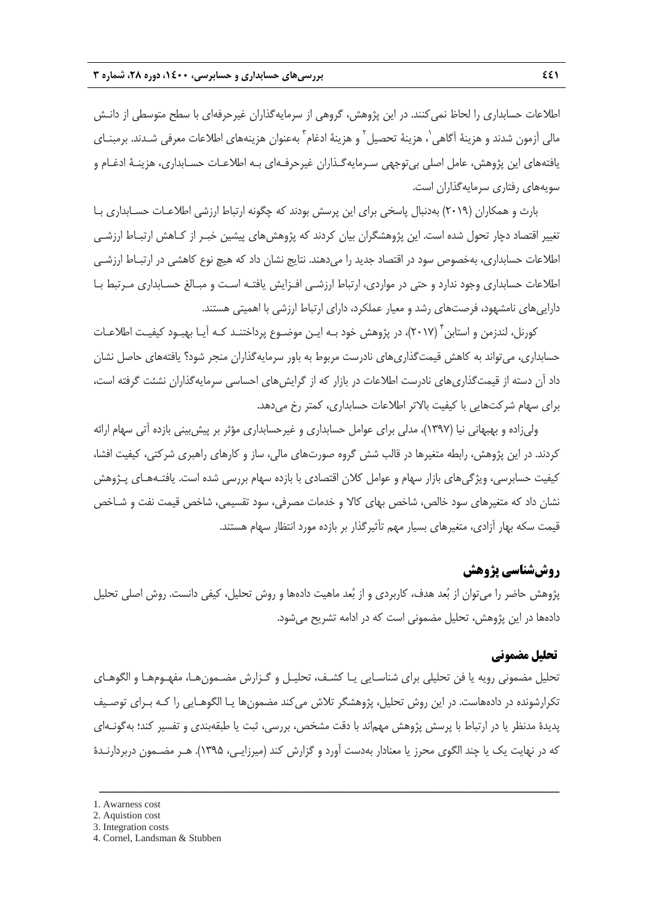اطلاعات حسابداري را لحاظ نميكنند. در اين پژوهش، گروهي از سرمايهگذاران غيرحرفهاي با سطح متوسطي از دانـش مالي اّزمون شدند و هزينهٔ اَگاهي`، هزينهٔ تحصيل<sup>٢</sup> و هزينهٔ ادغام<sup>٣</sup> بهعنوان هزينههاي اطلاعات معرفي شـدند. برمبنـاي يافتههاي اين پژوهش، عامل اصلي بيتوجهي سـرمايهگـذاران غيرحرفـهاي بـه اطلاعـات حسـابداري، هزينـة ادغـام و سويههاي رفتاري سرمايهگذاران است.

بارث و همكاران (2019) بهدنبال پاسخي براي اين پرسش بودند كه چگونه ارتباط ارزشي اطلاعـات حسـابداري بـا تغيير اقتصاد دچار تحول شده است. اين پژوهشگران بيان كردند كه پژوهشهاي پيشين خبـر از كـاهش ارتبـاط ارزشـي اطلاعات حسابداري، بهخصوص سود در اقتصاد جديد را ميدهند. نتايج نشان داد كه هيچ نوع كاهشي در ارتبـاط ارزشـي اطلاعات حسابداري وجود ندارد و حتي در مواردي، ارتباط ارزشـي افـزايش يافتـه اسـت و مبـالغ حسـابداري مـرتبط بـا داراييهاي نامشهود، فرصتهاي رشد و معيار عملكرد، داراي ارتباط ارزشي با اهميتي هستند.

كورنل، لندزمن و استابن ً (٢٠١٧)، در پژوهش خود بـه ايـن موضـوع پرداختنـد كـه آيـا بهبـود كيفيـت اطلاعـات حسابداري، ميتواند به كاهش قيمتگذاريهاي نادرست مربوط به باور سرمايهگذاران منجر شود؟ يافتههاي حاصل نشان داد آن دسته از قيمتگذاريهاي نادرست اطلاعات در بازار كه از گرايشهاي احساسي سرمايهگذاران نشئت گرفته است، براي سهام شركتهايي با كيفيت بالاتر اطلاعات حسابداري، كمتر رخ مي دهد.

وليزاده و بهبهاني نيا (1397)، مدلي براي عوامل حسابداري و غيرحسابداري مؤثر بر پيشبيني بازده آتي سهام ارائه كردند. در اين پژوهش، رابطه متغيرها در قالب شش گروه صورتهاي مالي، ساز و كارهاي راهبري شركتي، كيفيت افشا، كيفيت حسابرسي، ويژگيهاي بازار سهام و عوامل كلان اقتصادي با بازده سهام بررسي شده است. يافتـههـاي پـژوهش نشان داد كه متغيرهاي سود خالص، شاخص بهاي كالا و خدمات مصرفي، سود تقسيمي، شاخص قيمت نفت و شـاخص قيمت سكه بهار آزادي، متغيرهاي بسيار مهم تأثيرگذار بر بازده مورد انتظار سهام هستند.

# **روششناسي پژوهش**

پژوهش حاضر را ميتوان از بعد هدف، كاربردي و از بعد ماهيت دادهها و روش تحليل، كيفي دانست. روش اصلي تحليل دادهها در اين پژوهش، تحليل مضموني است كه در ادامه تشريح ميشود.

### **تحليل مضموني**

تحليل مضموني رويه يا فن تحليلي براي شناسـايي يـا كشـف، تحليـل و گـزارش مضـمونهـا، مفهـومهـا و الگوهـاي تكرارشونده در دادههاست. در اين روش تحليل، پژوهشگر تلاش ميكند مضمونها يـا الگوهـايي را كـه بـراي توصـيف پديدة مدنظر يا در ارتباط با پرسش پژوهش مهماند با دقت مشخص، بررسي، ثبت يا طبقهبندي و تفسير كند؛ بهگونـهاي كه در نهايت يك يا چند الگوي محرز يا معنادار بهدست آورد و گزارش كند (ميرزايـي، 1395). هـر مضـمون دربردارنـدة

<sup>1.</sup> Awarness cost

<sup>2.</sup> Aquistion cost

<sup>3.</sup> Integration costs

<sup>4.</sup> Cornel, Landsman & Stubben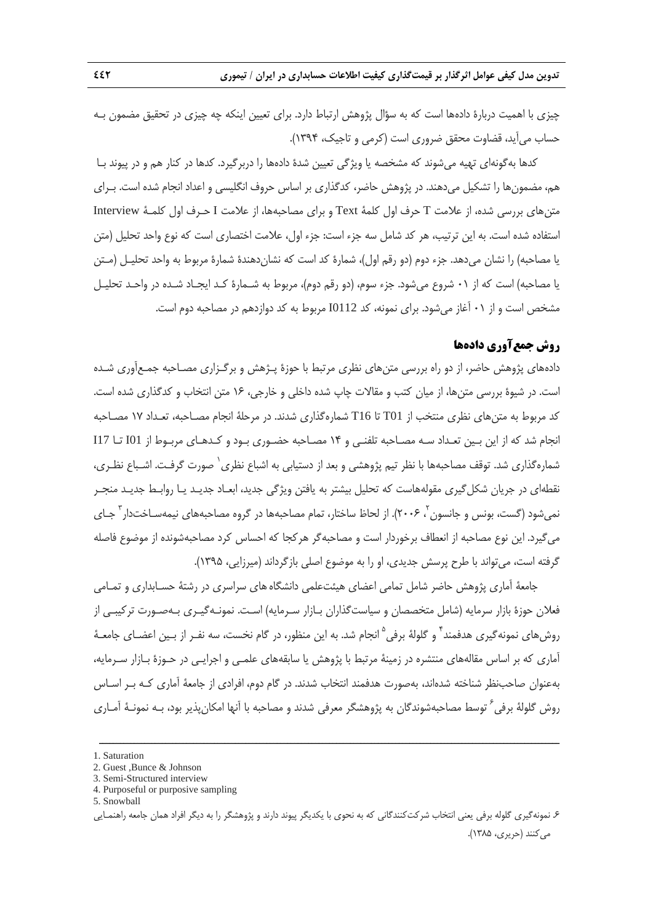چيزي با اهميت دربارة دادهها است كه به سؤال پژوهش ارتباط دارد. براي تعيين اينكه چه چيزي در تحقيق مضمون بـه حساب ميآيد، قضاوت محقق ضروري است (كرمي و تاجيك، 1394).

كدها بهگونهاي تهيه ميشوند كه مشخصه يا ويژگي تعيين شدة دادهها را دربرگيرد. كدها در كنار هم و در پيوند بـا هم، مضمونها را تشكيل ميدهند. در پژوهش حاضر، كدگذاري بر اساس حروف انگليسي و اعداد انجام شده است. بـراي متنهاي بررسي شده، از علامت T حرف اول كلمة Text و براي مصاحبهها، از علامت I حـرف اول كلمـة Interview استفاده شده است. به اين ترتيب، هر كد شامل سه جزء است: جزء اول، علامت اختصاري است كه نوع واحد تحليل (متن يا مصاحبه) را نشان ميدهد. جزء دوم (دو رقم اول)، شمارة كد است كه نشاندهندة شمارة مربوط به واحد تحليـل (مـتن يا مصاحبه) است كه از 01 شروع ميشود. جزء سوم، (دو رقم دوم)، مربوط به شـمارة كـد ايجـاد شـده در واحـد تحليـل مشخص است و از 01 آغاز ميشود. براي نمونه، كد 0112I مربوط به كد دوازدهم در مصاحبه دوم است.

### **روش جمعآوري دادهها**

دادههاي پژوهش حاضر، از دو راه بررسي متنهاي نظري مرتبط با حوزة پـژهش و برگـزاري مصـاحبه جمـعآوري شـده است. در شيوة بررسي متنها، از ميان كتب و مقالات چاپ شده داخلي و خارجي، 16 متن انتخاب و كدگذاري شده است. كد مربوط به متنهاي نظري منتخب از 01T تا 16T شمارهگذاري شدند. در مرحلة انجام مصـاحبه، تعـداد 17 مصـاحبه انجام شد كه از اين بـين تعـداد سـه مصـاحبه تلفنـي و 14 مصـاحبه حضـوري بـود و كـدهـاي مربـوط از 01I تـا 17I شمارهگذاري شد. توقف مصاحبهها با نظر تيم پژوهشي و بعد از دستيابي به اشباع نظري` صورت گرفـت. اشـباع نظـري، نقطهاي در جريان شكلگيري مقولههاست كه تحليل بيشتر به يافتن ويژگي جديد، ابعـاد جديـد يـا روابـط جديـد منجـر نمي شود (گست، بونس و جانسون <sup>۲</sup>، ۲۰۰۶). از لحاظ ساختار، تمام مصاحبهها در گروه مصاحبههاي نيمهسـاختدار <sup>۲</sup> جـاي ميگيرد. اين نوع مصاحبه از انعطاف برخوردار است و مصاحبهگر هركجا كه احساس كرد مصاحبهشونده از موضوع فاصله گرفته است، ميتواند با طرح پرسش جديدي، او را به موضوع اصلي بازگرداند (ميرزايي، 1395).

جامعة آماري پژوهش حاضر شامل تمامي اعضاي هيئتعلمي دانشگاههاي سراسري در رشتة حسـابداري و تمـامي فعلان حوزة بازار سرمايه (شامل متخصصان و سياستگذاران بـازار سـرمايه) اسـت. نمونـهگيـري بـهصـورت تركيبـي از روش هاي نمونه گيري هدفمند<sup>٢</sup> و گلولۀ برفي <sup>۵</sup> انجام شد. به اين منظور، در گام نخست، سه نفـر از بـين اعضـاي جامعـۀ آماري كه بر اساس مقالههاي منتشره در زمينة مرتبط با پژوهش يا سابقههاي علمـي و اجرايـي در حـوزة بـازار سـرمايه، بهعنوان صاحبنظر شناخته شدهاند، بهصورت هدفمند انتخاب شدند. در گام دوم، افرادي از جامعة آماري كـه بـر اسـاس روش گلولهٔ برفی<sup>۶</sup> توسط مصاحبهشوندگان به پژوهشگر معرفی شدند و مصاحبه با آنها امکانپذیر بود، بـه نمونـهٔ آمـاری

<sup>1.</sup> Saturation

<sup>2.</sup> Guest ,Bunce & Johnson

<sup>3.</sup> Semi-Structured interview

<sup>4.</sup> Purposeful or purposive sampling

<sup>5.</sup> Snowball

<sup>.6</sup> نمونهگيري گلوله برفي يعني انتخاب شركتكنندگاني كه به نحوي با يكديگر پيوند دارند و پژوهشگر را به ديگر افراد همان جامعه راهنمـايي ميكنند (حريري، 1385).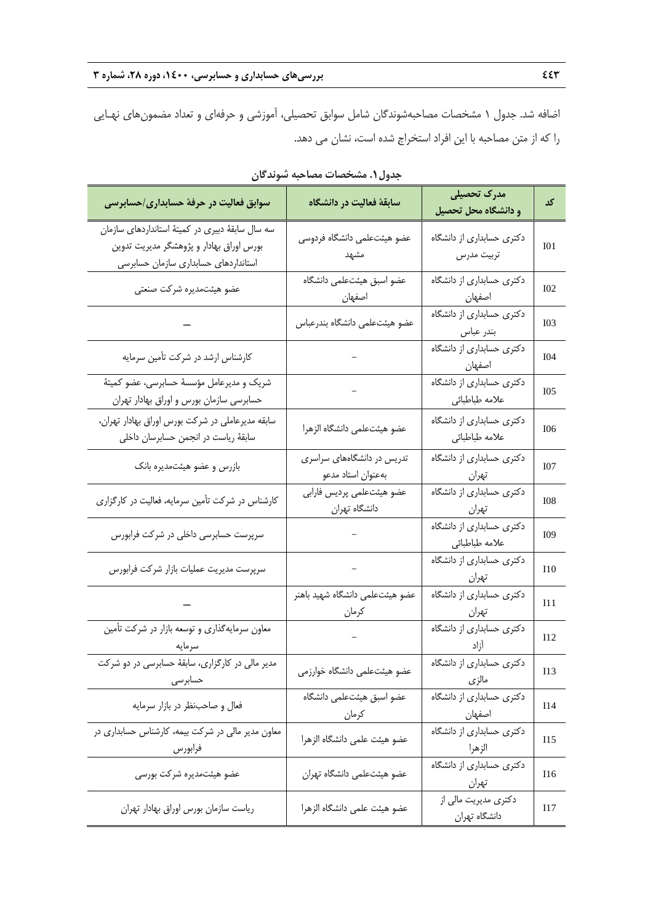اضافه شد. جدول 1 مشخصات مصاحبهشوندگان شامل سوابق تحصيلي، آموزشي و حرفهاي و تعداد مضمونهاي نهـايي را كه از متن مصاحبه با اين افراد استخراج شده است، نشان مي دهد.

| سوابق فعالیت در حرفهٔ حسابداری/حسابرسی                                                                                                | سابقة فعاليت در دانشگاه                                                | مدرک تحصیلی<br>و دانشگاه محل تحصیل          | کد               |
|---------------------------------------------------------------------------------------------------------------------------------------|------------------------------------------------------------------------|---------------------------------------------|------------------|
| سه سال سابقهٔ دبیری در کمیتهٔ استانداردهای سازمان<br>بورس اوراق بهادار و پژوهشگر مدیریت تدوین<br>استانداردهای حسابداری سازمان حسابرسی | عضو هيئتعلمى دانشگاه فردوسى<br>مشهد                                    | دکتری حسابداری از دانشگاه<br>تربيت مدرس     | I <sub>01</sub>  |
| عضو هيئتمديره شركت صنعتى                                                                                                              | عضو اسبق هيئتعلمي دانشگاه<br>اصفهان                                    | دکتری حسابداری از دانشگاه<br>اصف <u>ھان</u> | I <sub>0</sub> 2 |
|                                                                                                                                       | عضو هيئتعلمى دانشگاه بندرعباس                                          | دکتری حسابداری از دانشگاه<br>بندر عباس      | <b>IO3</b>       |
| کارشناس ارشد در شرکت تأمین سرمایه                                                                                                     |                                                                        | دکتری حسابداری از دانشگاه                   | I04              |
| شریک و مدیرعامل مؤسسهٔ حسابرسی، عضو کمیتهٔ<br>حسابرسی سازمان بورس و اوراق بهادار تهران                                                | $\frac{1}{2}$                                                          | دکتری حسابداری از دانشگاه<br>علامه طباطبائي | I05              |
| سابقه مدیرعاملی در شرکت بورس اوراق بهادار تهران،<br>سابقهٔ ریاست در انجمن حسابرسان داخلی                                              | عضو هيئتعلمى دانشگاه الزهرا                                            | دکتری حسابداری از دانشگاه<br>علامه طباطبائي | I06              |
| بازرس و عضو هیئتمدیره بانک                                                                                                            | تدریس در دانشگاههای سراسری<br>بهعنوان استاد مدعو                       | دکتری حسابداری از دانشگاه<br>تهران المستخدم | I07              |
| کارشناس در شرکت تأمین سرمایه، فعالیت در کارگزاری                                                                                      | عضو هيئتعلمي پرديس فارابي<br>دانشگاه تهران                             | دکتری حسابداری از دانشگاه<br>تهران          | <b>I08</b>       |
| سرپرست حسابرسی داخلی در شرکت فرابورس                                                                                                  |                                                                        | دکتری حسابداری از دانشگاه<br>علامه طباطبائي | I09              |
| سرپرست مدیریت عملیات بازار شرکت فرابورس                                                                                               |                                                                        | دکتری حسابداری از دانشگاه<br>تهران          | I10              |
|                                                                                                                                       | عضو هيئتعلمى دانشگاه شهيد باهنر<br>كرمان                               | دکتری حسابداری از دانشگاه<br>تهران          | I11              |
| معاون سرمایهگذاری و توسعه بازار در شرکت تأمین<br>سرمايه                                                                               | $\label{eq:1} \frac{1}{\sqrt{2}}\left( \frac{1}{\sqrt{2}}\right) ^{2}$ | دکتری حسابداری از دانشگاه<br>أزاد           | I12              |
| مدیر مالی در کارگزاری، سابقهٔ حسابرسی در دو شرکت<br>حسابرسى                                                                           | عضو هیئتعلمی دانشگاه خوارزمی                                           | دکتری حسابداری از دانشگاه<br>مالزى          | I13              |
| فعال و صاحب نظر در بازار سرمايه                                                                                                       | عضو اسبق هيئتعلمى دانشگاه<br>كرمان                                     | دکتری حسابداری از دانشگاه<br>اصفهان         | I14              |
| معاون مدیر مالی در شرکت بیمه، کارشناس حسابداری در<br>فرابورس                                                                          | عضو هيئت علمى دانشگاه الزهرا                                           | دکتری حسابداری از دانشگاه<br>الزهرا         | I15              |
| عضو هیئتمدیره شرکت بورسی                                                                                                              | عضو هيئتعلمي دانشگاه تهران                                             | دکتری حسابداری از دانشگاه<br>تهران          | I16              |
| رياست سازمان بورس اوراق بهادار تهران                                                                                                  | عضو هيئت علمى دانشگاه الزهرا                                           | دکتری مدیریت مالی از<br>دانشگاه تهران       | I17              |

**جدول.1 مشخصات مصاحبه شوندگان**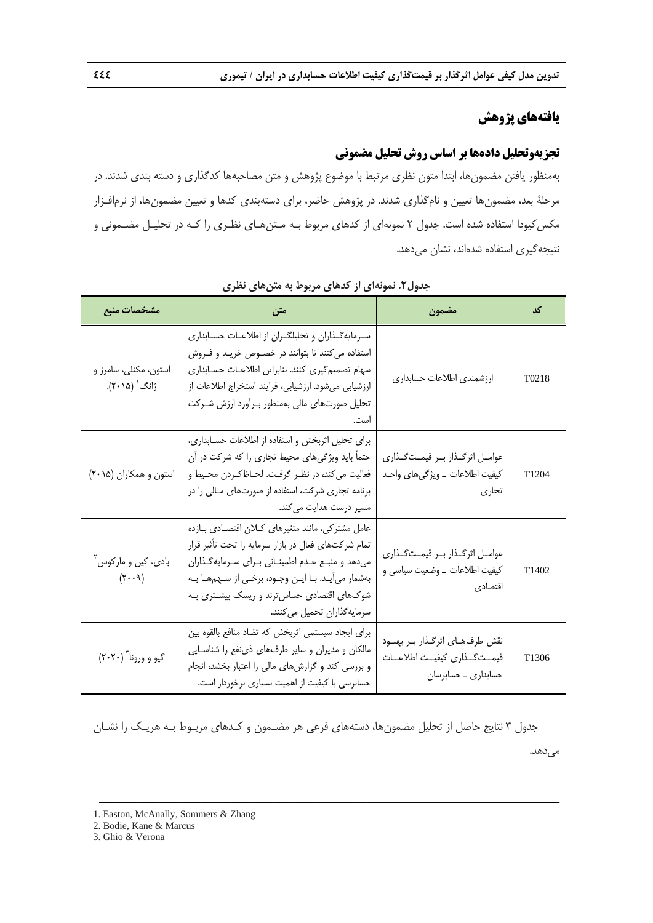# **يافتههاي پژوهش**

# **تجزيهوتحليل دادهها بر اساس روش تحليل مضموني**

بهمنظور يافتن مضمونها، ابتدا متون نظري مرتبط با موضوع پژوهش و متن مصاحبهها كدگذاري و دسته بندي شدند. در مرحلة بعد، مضمونها تعيين و نامگذاري شدند. در پژوهش حاضر، براي دستهبندي كدها و تعيين مضمونها، از نرمافـزار مكسكيودا استفاده شده است. جدول 2 نمونهاي از كدهاي مربوط بـه مـتنهـاي نظـري را كـه در تحليـل مضـموني و نتيجهگيري استفاده شدهاند، نشان ميدهد.

| مشخصات منبع                                                     | متن                                                                                                                                                                                                                                                                                     | مضمون                                                                                     | کد                |
|-----------------------------------------------------------------|-----------------------------------------------------------------------------------------------------------------------------------------------------------------------------------------------------------------------------------------------------------------------------------------|-------------------------------------------------------------------------------------------|-------------------|
| استون، مكنلي، سامرز و<br>ژانگ <sup>٬</sup> (۲۰۱۵).              | سرمایهگذاران و تحلیلگران از اطلاعات حسابداری<br>استفاده می کنند تا بتوانند در خصوص خریـد و فـروش<br>سهام تصميم گيري كنند. بنابراين اطلاعات حسابداري<br>ارزشیابی میشود. ارزشیابی، فرایند استخراج اطلاعات از<br>تحلیل صورتهای مالی بهمنظور بـرآورد ارزش شـرکت<br>است.                     | ارزشمندى اطلاعات حسابدارى                                                                 | T <sub>0218</sub> |
| استون و همکاران (۲۰۱۵)                                          | برای تحلیل اثربخش و استفاده از اطلاعات حسابداری،<br>حتماً باید ویژگیهای محیط تجاری را که شرکت در آن<br>فعالیت می کند، در نظـر گرفـت. لحـاظكـردن محـيط و<br>برنامه تجاری شرکت، استفاده از صورتهای مـالی را در<br>مسیر درست هدایت میکند.                                                  | عوامـل اثرگـذار بـر قيمـتگـذاري<br>كيفيت اطلاعات _ ويژگىهاى واحـد<br>تجارى                | T1204             |
| بادي، کين و مارکوس آ<br>$(\mathcal{F} \cdot \cdot \mathcal{A})$ | عامل مشتركي، مانند متغيرهاي كلان اقتصادي بازده<br>تمام شركتهاى فعال در بازار سرمايه را تحت تأثير قرار<br>میدهد و منبع عدم اطمینانی برای سرمایه گذاران<br>بهشمار میآیـد. بـا ایـن وجـود، برخـی از سـهمهـا بـه<br>شوکهای اقتصادی حساسترند و ریسک بیشتری بـه<br>سرمايەگذاران تحميل مىكنند. | عوامـل اثرگـذار بـر قيمـتگـذاري<br>كيفيت اطلاعات _ وضعيت سياسي و<br>اقتصادى               | T <sub>1402</sub> |
| گيو و ورونا ۲۰۲۰)                                               | برای ایجاد سیستمی اثربخش که تضاد منافع بالقوه بین<br>مالکان و مدیران و سایر طرفهای ذی نفع را شناسایی<br>و بررسی کند و گزارشهای مالی را اعتبار بخشد، انجام<br>حسابرسی با کیفیت از اهمیت بسیاری برخوردار است.                                                                             | نقش طرفهـاي اثرگـذار بـر بهبـود<br>قيمــتگــذارى كيفيــت اطلاعــات<br>حسابداری _ حسابرسان | T <sub>1306</sub> |

**جدول.2 نمونهاي از كدهاي مربوط به متنهاي نظري** 

جدول 3 نتايج حاصل از تحليل مضمونها، دستههاي فرعي هر مضـمون و كـدهاي مربـوط بـه هريـك را نشـان مي دهد.

ــــــــــــــــــــــــــــــــــــــــــــــــــــــــــــــــــــــــــــــــــــــــــــــــــــــــــــــــــــــــــــــــــــ

3. Ghio & Verona

<sup>1.</sup> Easton, McAnally, Sommers & Zhang

<sup>2.</sup> Bodie, Kane & Marcus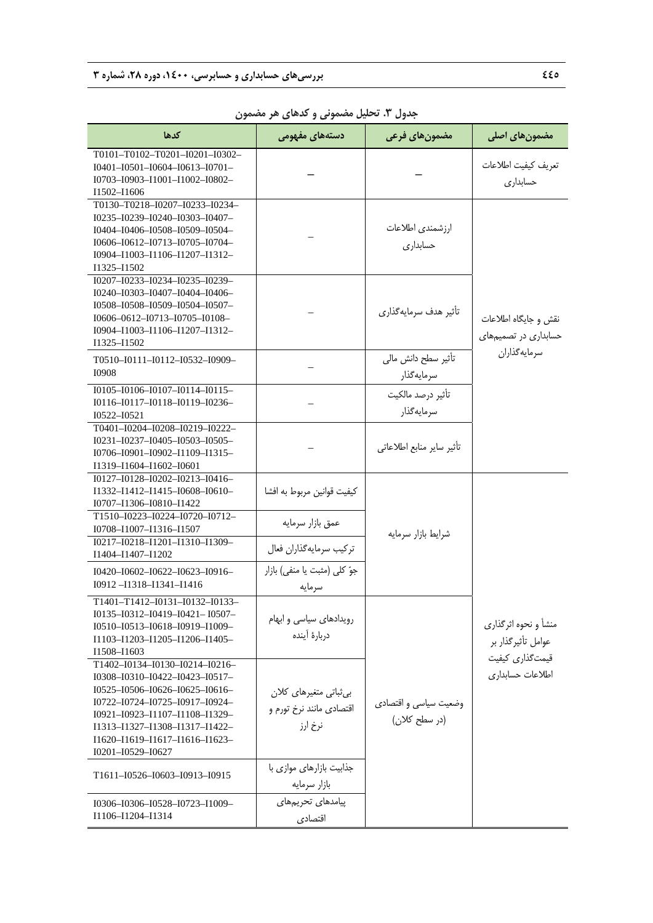| كدها                                                                                                                                                                                                                                                                       | دستههای مفهوم <i>ی</i>                                        | مضمون های فرعی                         | مضمون های اصلی                                                |  |
|----------------------------------------------------------------------------------------------------------------------------------------------------------------------------------------------------------------------------------------------------------------------------|---------------------------------------------------------------|----------------------------------------|---------------------------------------------------------------|--|
| T0101-T0102-T0201-I0201-I0302-<br>I0401-I0501-I0604-I0613-I0701-<br>I0703-I0903-I1001-I1002-I0802-<br>I1502-I1606                                                                                                                                                          |                                                               |                                        | تعريف كيفيت اطلاعات<br>حسابدارى                               |  |
| T0130-T0218-J0207-J0233-J0234-<br>10235-10239-10240-10303-10407-<br>I0404-I0406-I0508-I0509-I0504-<br>10606-10612-10713-10705-10704-<br>I0904-I1003-I1106-I1207-I1312-<br>I1325-I1502                                                                                      |                                                               | ارزشمندى اطلاعات<br>حسابدارى           |                                                               |  |
| I0207-I0233-I0234-I0235-I0239-<br>I0240-I0303-I0407-I0404-I0406-<br>I0508-I0508-I0509-I0504-I0507-<br>10606-0612-10713-10705-10108-<br>I0904-I1003-I1106-I1207-I1312-<br>I1325-I1502                                                                                       |                                                               | تأثیر هدف سرمایهگذاری                  | نقش و جایگاه اطلاعات<br>حسابداری در تصمیمهای                  |  |
| T0510-I0111-I0112-I0532-I0909-<br>I0908                                                                                                                                                                                                                                    |                                                               | تأثير سطح دانش مالي<br>سرمايهگذار      | سرمايهگذاران                                                  |  |
| I0105-I0106-I0107-I0114-I0115-<br>10116-10117-10118-10119-10236-<br>10522-10521                                                                                                                                                                                            |                                                               | تأثير درصد مالكيت<br>سرمايەگذار        |                                                               |  |
| T0401-I0204-I0208-I0219-I0222-<br>I0231-I0237-I0405-I0503-I0505-<br>I0706-I0901-I0902-I1109-I1315-<br>I1319-I1604-I1602-I0601                                                                                                                                              |                                                               | تأثير ساير منابع اطلاعاتي              |                                                               |  |
| $I0127 - I0128 - I0202 - I0213 - I0416 -$<br>I1332-I1412-I1415-I0608-I0610-<br>I0707-I1306-I0810-I1422                                                                                                                                                                     | كيفيت قوانين مربوط به افشا                                    |                                        |                                                               |  |
| T1510-I0223-I0224-I0720-I0712-<br>I0708-I1007-I1316-I1507                                                                                                                                                                                                                  | عمق بازار سرمايه                                              | شرایط بازار سرمایه                     |                                                               |  |
| I0217-I0218-I1201-I1310-I1309-<br>I1404-I1407-I1202                                                                                                                                                                                                                        | تركيب سرمايهگذاران فعال                                       |                                        |                                                               |  |
| 10420-10602-10622-10623-10916-<br>$I0912 - I1318 - I1341 - I1416$                                                                                                                                                                                                          | جوّ کلی (مثبت یا منفی) بازار<br>سر مایه                       |                                        |                                                               |  |
| T1401-T1412-I0131-I0132-I0133-<br>I0135-I0312-I0419-I0421- I0507-<br>I0510-I0513-I0618-I0919-I1009-<br>I1103-I1203-I1205-I1206-I1405-<br>I1508-I1603                                                                                                                       | رویدادهای سیاسی و ابهام<br>دربارهٔ أینده                      |                                        | منشأ و نحوه اثرگذاري<br>عوامل تأثيرگذار بر<br>قیمتگذاری کیفیت |  |
| T1402-I0134-I0130-I0214-I0216-<br>$I0308 - I0310 - I0422 - I0423 - I0517 -$<br>I0525-I0506-I0626-I0625-I0616-<br>I0722-I0724-I0725-I0917-I0924-<br>I0921-I0923-I1107-I1108-I1329-<br>I1313-I1327-I1308-I1317-I1422-<br>I1620-I1619-I1617-I1616-I1623-<br>I0201-I0529-I0627 | بی ثباتی متغیرهای کلان<br>اقتصادي مانند نرخ تورم و<br>نرخ ارز | وضعیت سیاسی و اقتصادی<br>(در سطح کلان) | اطلاعات حسابدارى                                              |  |
| T1611-I0526-I0603-I0913-I0915                                                                                                                                                                                                                                              | جذابیت بازارهای موازی با<br>بازار سرمايه                      |                                        |                                                               |  |
| I0306-I0306-I0528-I0723-I1009-<br>I1106-I1204-I1314                                                                                                                                                                                                                        | ييامدهاى تحريمهاى<br>اقتصادى                                  |                                        |                                                               |  |

**جدول .3 تحليل مضموني و كدهاي هر مضمون**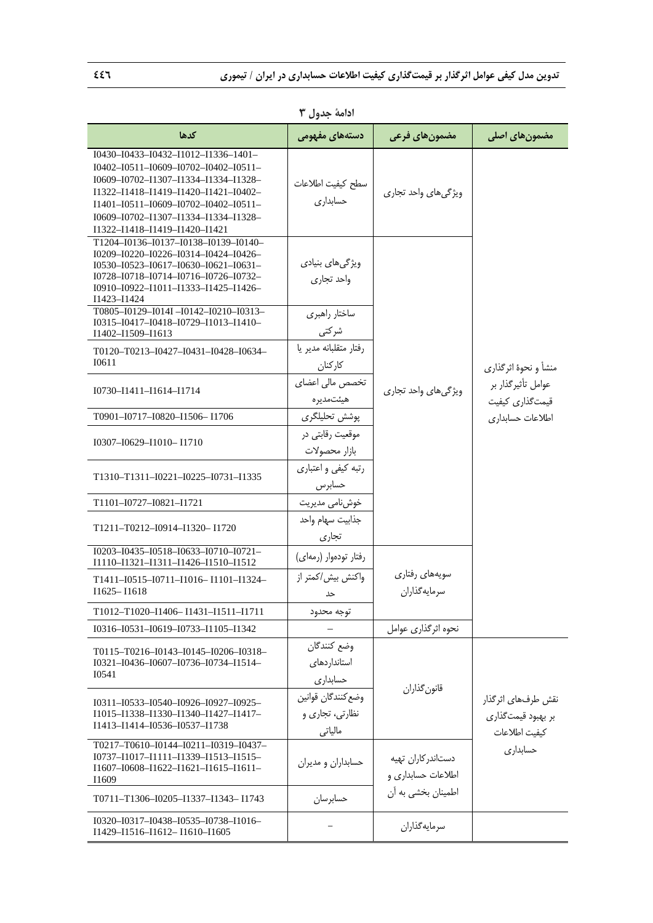| كدها                                                                                                                                                                                                                                                                                                   | دستههای مفهومی                                   | مضمون های فرعی                           | مضمون های اصلی                                                                     |
|--------------------------------------------------------------------------------------------------------------------------------------------------------------------------------------------------------------------------------------------------------------------------------------------------------|--------------------------------------------------|------------------------------------------|------------------------------------------------------------------------------------|
| $I0430 - I0433 - I0432 - I1012 - I1336 - I401 -$<br>I0402-I0511-I0609-I0702-I0402-I0511-<br>I0609-I0702-I1307-I1334-I1334-I1328-<br>I1322-I1418-I1419-I1420-I1421-I0402-<br>$I1401 - I0511 - I0609 - I0702 - I0402 - I0511 -$<br>10609-10702-11307-11334-11334-11328-<br>I1322-I1418-I1419-I1420-I1421 | سطح كيفيت اطلاعات<br>حسابدارى                    | ویژگی های واحد تجاری                     |                                                                                    |
| T1204-I0136-I0137-I0138-I0139-I0140-<br>10209-10220-10226-10314-10424-10426-<br>$I0530 - I0523 - I0617 - I0630 - I0621 - I0631 -$<br>I0728-I0718-I0714-I0716-I0726-I0732-<br>I0910-I0922-I1011-I1333-I1425-I1426-<br>I1423-I1424<br>T0805-I0129-I014I-I0142-I0210-I0313-                               | ویژگیهای بنیادی<br>واحد تجارى                    |                                          |                                                                                    |
| I0315-I0417-I0418-I0729-I1013-I1410-<br>I1402-I1509-I1613                                                                                                                                                                                                                                              | ساختار راهبري<br>شركتى                           |                                          | منشأ و نحوهٔ اثرگذاری<br>عوامل تأثيرگذار بر<br>قیمتگذاری کیفیت<br>اطلاعات حسابدارى |
| T0120-T0213-I0427-I0431-I0428-I0634-<br>I0611                                                                                                                                                                                                                                                          | رفتار متقلبانه مدير يا<br>كاركنان                |                                          |                                                                                    |
| I0730-I1411-I1614-I1714                                                                                                                                                                                                                                                                                | تخصص مالی اعضای<br>هيئتمديره                     | ویژگیهای واحد تجاری                      |                                                                                    |
| T0901-I0717-I0820-I1506-I1706                                                                                                                                                                                                                                                                          | پوشش تحلیلگری                                    |                                          |                                                                                    |
| I0307-I0629-I1010-I1710                                                                                                                                                                                                                                                                                | موقعیت رقابتی در<br>بازار محصولات                |                                          |                                                                                    |
| T1310-T1311-I0221-I0225-I0731-I1335                                                                                                                                                                                                                                                                    | رتبه کیفی و اعتباری<br>حسابرس                    |                                          |                                                                                    |
| T1101-I0727-I0821-I1721                                                                                                                                                                                                                                                                                | خوشنامی مدیریت                                   |                                          |                                                                                    |
| T1211-T0212-I0914-I1320-I1720                                                                                                                                                                                                                                                                          | جذابيت سهام واحد<br>تجارى                        |                                          |                                                                                    |
| $I0203 - I0435 - I0518 - I0633 - I0710 - I0721 -$<br>I1110-I1321-I1311-I1426-I1510-I1512                                                                                                                                                                                                               | رفتار تودەوار (رمەاي)                            |                                          |                                                                                    |
| $T1411 - I0515 - I0711 - I1016 - I1101 - I1324 -$<br>I1625-I1618                                                                                                                                                                                                                                       | واكنش بيش/كمتر از<br>حد                          | سويەھاي رفتاري<br>سرمايه گذاران          |                                                                                    |
| T1012–T1020–I1406– I1431–I1511–I1711                                                                                                                                                                                                                                                                   | ىوجە محدود                                       |                                          |                                                                                    |
| 10316-10531-10619-10733-11105-11342                                                                                                                                                                                                                                                                    |                                                  | نحوه اثرگذاري عوامل                      |                                                                                    |
| T0115-T0216-I0143-I0145-I0206-I0318-<br>I0321-I0436-I0607-I0736-I0734-I1514-<br>I0541                                                                                                                                                                                                                  | وضع كنندگان<br>استانداردهای<br>حسابدارى          |                                          |                                                                                    |
| $I0311 - I0533 - I0540 - I0926 - I0927 - I0925 -$<br>I1015-I1338-I1330-I1340-I1427-I1417-<br>I1413-I1414-I0536-I0537-I1738                                                                                                                                                                             | وضع كنندگان قوانين<br>نظارتی، تجاری و<br>مالياتي | قانون گذاران                             | نقش طرفهای اثرگذار<br>بر بهبود قیمتگذاری<br>كيفيت اطلاعات                          |
| T0217-T0610-I0144-I0211-I0319-I0437-<br>$10737 - 11017 - 11111 - 11339 - 11513 - 11515 -$<br>I1607-I0608-I1622-I1621-I1615-I1611-<br>I1609                                                                                                                                                             | حسابداران و مديران                               | دستاندر كاران تهيه<br>اطلاعات حسابداري و | حسابدارى                                                                           |
| T0711-T1306-I0205-I1337-I1343-I1743                                                                                                                                                                                                                                                                    | حسابرسان                                         | اطمینان بخشی به آن                       |                                                                                    |
| $I0320 - I0317 - I0438 - I0535 - I0738 - I1016 -$<br>I1429-I1516-I1612-I1610-I1605                                                                                                                                                                                                                     |                                                  | سرمايهگذاران                             |                                                                                    |

**ادامة جدول 3**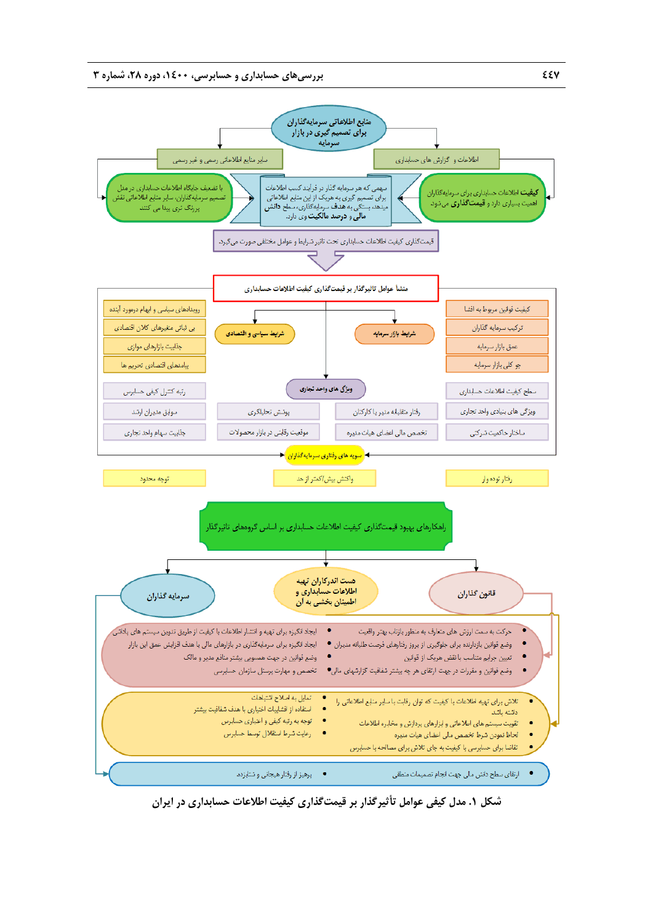

**شكل .1 مدل كيفي عوامل تأثيرگذار بر قيمتگذاري كيفيت اطلاعات حسابداري در ايران**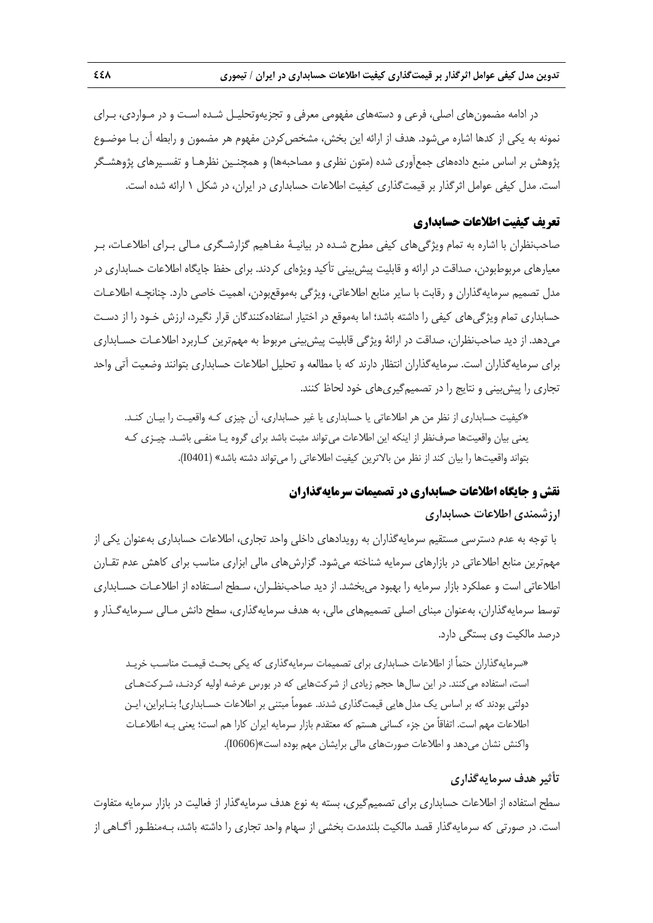در ادامه مضمونهاي اصلي، فرعي و دستههاي مفهومي معرفي و تجزيهوتحليـل شـده اسـت و در مـواردي، بـراي نمونه به يكي از كدها اشاره مي شود. هدف از ارائه اين بخش، مشخص كردن مفهوم هر مضمون و رابطه آن بـا موضـوع پژوهش بر اساس منبع دادههاي جمعآوري شده (متون نظري و مصاحبهها) و همچنـين نظرهـا و تفسـيرهاي پژوهشـگر است. مدل كيفي عوامل اثرگذار بر قيمتگذاري كيفيت اطلاعات حسابداري در ايران، در شكل 1 ارائه شده است.

### **تعريف كيفيت اطلاعات حسابداري**

صاحبنظران با اشاره به تمام ويژگيهاي كيفي مطرح شـده در بيانيـة مفـاهيم گزارشـگري مـالي بـراي اطلاعـات، بـر معيارهاي مربوطبودن، صداقت در ارائه و قابليت پيشبيني تأكيد ويژهاي كردند. براي حفظ جايگاه اطلاعات حسابداري در مدل تصميم سرمايهگذاران و رقابت با ساير منابع اطلاعاتي، ويژگي بهموقعبودن، اهميت خاصي دارد. چنانچـه اطلاعـات حسابداري تمام ويژگيهاي كيفي را داشته باشد؛ اما بهموقع در اختيار استفادهكنندگان قرار نگيرد، ارزش خـود را از دسـت ميدهد. از ديد صاحبنظران، صداقت در ارائة ويژگي قابليت پيشبيني مربوط به مهمترين كـاربرد اطلاعـات حسـابداري براي سرمايهگذاران است. سرمايهگذاران انتظار دارند كه با مطالعه و تحليل اطلاعات حسابداري بتوانند وضعيت آتي واحد تجاري را پيشبيني و نتايج را در تصميمگيريهاي خود لحاظ كنند.

«كيفيت حسابداري از نظر من هر اطلاعاتي يا حسابداري يا غير حسابداري، آن چيزي كـه واقعيـت را بيـان كنـد. يعني بيان واقعيتها صرفنظر از اينكه اين اطلاعات ميتواند مثبت باشد براي گروه يـا منفـي باشـد. چيـزي كـه بتواند واقعيتها را بيان كند از نظر من بالاترين كيفيت اطلاعاتي را ميتواند دشته باشد» (0401I(.

### **نقش و جايگاه اطلاعات حسابداري در تصميمات سرمايهگذاران**

#### **ارزشمندي اطلاعات حسابداري**

با توجه به عدم دسترسي مستقيم سرمايهگذاران به رويدادهاي داخلي واحد تجاري، اطلاعات حسابداري بهعنوان يكي از مهمترين منابع اطلاعاتي در بازارهاي سرمايه شناخته ميشود. گزارشهاي مالي ابزاري مناسب براي كاهش عدم تقـارن اطلاعاتي است و عملكرد بازار سرمايه را بهبود ميبخشد. از ديد صاحبنظـران، سـطح اسـتفاده از اطلاعـات حسـابداري توسط سرمايهگذاران، بهعنوان مبناي اصلي تصميمهاي مالي، به هدف سرمايهگذاري، سطح دانش مـالي سـرمايهگـذار و درصد مالكيت وي بستگي دارد.

«سرمايهگذاران حتماً از اطلاعات حسابداري براي تصميمات سرمايهگذاري كه يكي بحـث قيمـت مناسـب خريـد است، استفاده ميكنند. در اين سالها حجم زيادي از شركتهايي كه در بورس عرضه اوليه كردنـد، شـركتهـاي دولتي بودند كه بر اساس يك مدل هايي قيمتگذاري شدند. عموماً مبتني بر اطلاعات حسـابداري! بنـابراين، ايـن اطلاعات مهم است. اتفاقاً من جزء كساني هستم كه معتقدم بازار سرمايه ايران كارا هم است؛ يعني بـه اطلاعـات واكنش نشان ميدهد و اطلاعات صورتهاي مالي برايشان مهم بوده است»(0606I(.

### **تأثير هدف سرمايهگذاري**

سطح استفاده از اطلاعات حسابداري براي تصميمگيري، بسته به نوع هدف سرمايهگذار از فعاليت در بازار سرمايه متفاوت است. در صورتي كه سرمايهگذار قصد مالكيت بلندمدت بخشي از سهام واحد تجاري را داشته باشد، بـهمنظـور آگـاهي از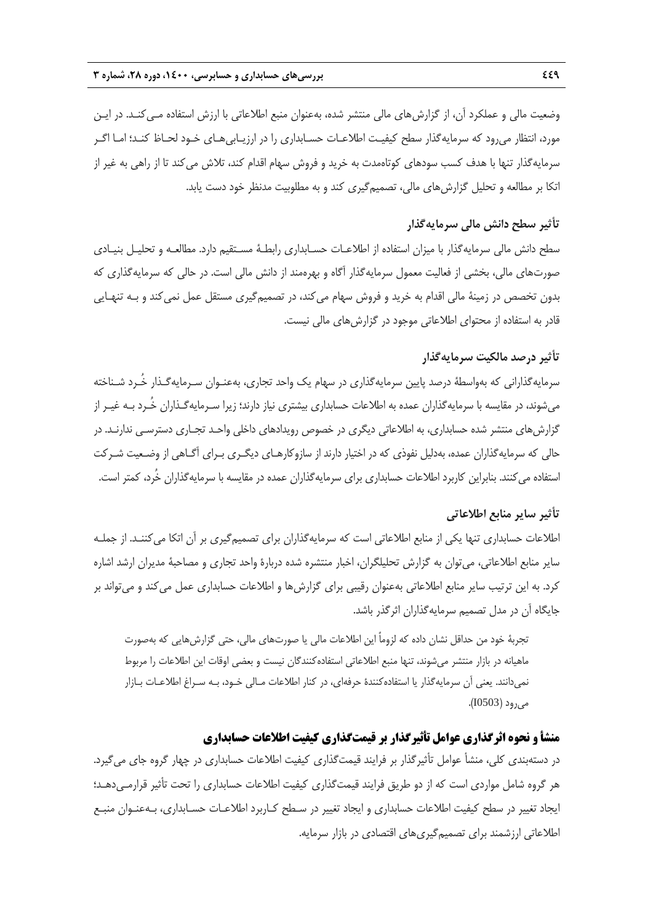وضعيت مالي و عملكرد آن، از گزارشهاي مالي منتشر شده، بهعنوان منبع اطلاعاتي با ارزش استفاده مـيكنـد. در ايـن مورد، انتظار ميرود كه سرمايهگذار سطح كيفيـت اطلاعـات حسـابداري را در ارزيـابيهـاي خـود لحـاظ كنـد؛ امـا اگـر سرمايهگذار تنها با هدف كسب سودهاي كوتاهمدت به خريد و فروش سهام اقدام كند، تلاش ميكند تا از راهي به غير از اتكا بر مطالعه و تحليل گزارشهاي مالي، تصميمگيري كند و به مطلوبيت مدنظر خود دست يابد.

### **تأثير سطح دانش مالي سرمايهگذار**

سطح دانش مالي سرمايهگذار با ميزان استفاده از اطلاعـات حسـابداري رابطـة مسـتقيم دارد. مطالعـه و تحليـل بنيـادي صورتهاي مالي، بخشي از فعاليت معمول سرمايهگذار آگاه و بهرهمند از دانش مالي است. در حالي كه سرمايهگذاري كه بدون تخصص در زمينهٔ مالي اقدام به خريد و فروش سهام مي كند، در تصميمگيري مستقل عمل نمي كند و بـه تنهـايي قادر به استفاده از محتواي اطلاعاتي موجود در گزارشهاي مالي نيست.

### **تأثير درصد مالكيت سرمايهگذار**

سرمايهگذاراني كه بهواسطة درصد پايين سرمايهگذاري در سهام يك واحد تجاري، بهعنـوان سـرمايهگـذار خُـرد شـناخته ميشوند، در مقايسه با سرمايهگذاران عمده به اطلاعات حسابداري بيشتري نياز دارند؛ زيرا سـرمايهگـذاران خُـرد بـه غيـر از گزارشهاي منتشر شده حسابداري، به اطلاعاتي ديگري در خصوص رويدادهاي داخلي واحـد تجـاري دسترسـي ندارنـد. در حالي كه سرمايهگذاران عمده، بهدليل نفوذي كه در اختيار دارند از سازوكارهـاي ديگـري بـراي آگـاهي از وضـعيت شـركت استفاده ميكنند. بنابراين كاربرد اطلاعات حسابداري براي سرمايهگذاران عمده در مقايسه با سرمايهگذاران خُرد، كمتر است.

### **تأثير ساير منابع اطلاعاتي**

اطلاعات حسابداري تنها يكي از منابع اطلاعاتي است كه سرمايهگذاران براي تصميمگيري بر آن اتكا ميكننـد. از جملـه ساير منابع اطلاعاتي، ميتوان به گزارش تحليلگران، اخبار منتشره شده دربارة واحد تجاري و مصاحبة مديران ارشد اشاره كرد. به اين ترتيب ساير منابع اطلاعاتي بهعنوان رقيبي براي گزارشها و اطلاعات حسابداري عمل ميكند و ميتواند بر جايگاه آن در مدل تصميم سرمايهگذاران اثرگذر باشد.

تجربة خود من حداقل نشان داده كه لزوماً اين اطلاعات مالي يا صورتهاي مالي، حتي گزارشهايي كه بهصورت ماهيانه در بازار منتشر ميشوند، تنها منبع اطلاعاتي استفادهكنندگان نيست و بعضي اوقات اين اطلاعات را مربوط نميدانند. يعني آن سرمايهگذار يا استفادهكنندة حرفهاي، در كنار اطلاعات مـالي خـود، بـه سـراغ اطلاعـات بـازار ميرود (0503I(.

## **منشأ و نحوه اثرگذاري عوامل تأثيرگذار بر قيمتگذاري كيفيت اطلاعات حسابداري**

در دستهبندي كلي، منشأ عوامل تأثيرگذار بر فرايند قيمتگذاري كيفيت اطلاعات حسابداري در چهار گروه جاي ميگيرد. هر گروه شامل مواردي است كه از دو طريق فرايند قيمتگذاري كيفيت اطلاعات حسابداري را تحت تأثير قرارمـي‹هـد؛ ايجاد تغيير در سطح كيفيت اطلاعات حسابداري و ايجاد تغيير در سـطح كـاربرد اطلاعـات حسـابداري، بـهعنـوان منبـع اطلاعاتي ارزشمند براي تصميمگيريهاي اقتصادي در بازار سرمايه.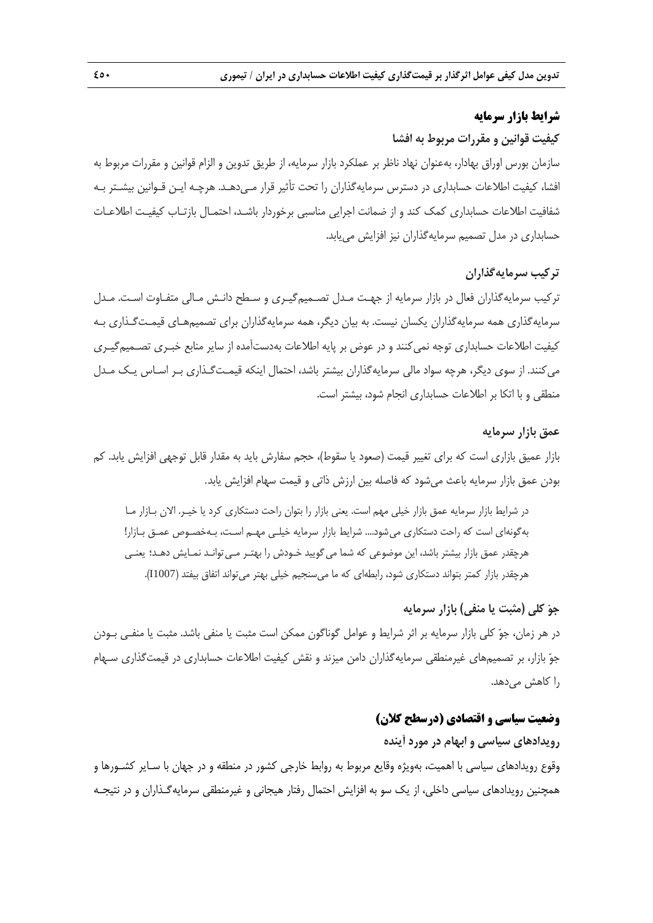### **شرايط بازار سرمايه**

#### **كيفيت قوانين و مقررات مربوط به افشا**

سازمان بورس اوراق بهادار، بهعنوان نهاد ناظر بر عملكرد بازار سرمايه، از طريق تدوين و الزام قوانين و مقررات مربوط به افشا، كيفيت اطلاعات حسابداري در دسترس سرمايهگذاران را تحت تأثير قرار مـي دهـد. هرچـه ايـن قـوانين بيشـتر بـه شفافيت اطلاعات حسابداري كمك كند و از ضمانت اجرايي مناسبي برخوردار باشـد، احتمـال بازتـاب كيفيـت اطلاعـات حسابداري در مدل تصميم سرمايهگذاران نيز افزايش مييابد.

### **تركيب سرمايهگذاران**

تركيب سرمايهگذاران فعال در بازار سرمايه از جهـت مـدل تصـميمگيـري و سـطح دانـش مـالي متفـاوت اسـت. مـدل سرمايهگذاري همه سرمايهگذاران يكسان نيست. به بيان ديگر، همه سرمايهگذاران براي تصميمهـاي قيمـتگـذاري بـه كيفيت اطلاعات حسابداري توجه نميكنند و در عوض بر پايه اطلاعات بهدستآمده از ساير منابع خبـري تصـميمگيـري ميكنند. از سوي ديگر، هرچه سواد مالي سرمايهگذاران بيشتر باشد، احتمال اينكه قيمـتگـذاري بـر اسـاس يـك مـدل منطقي و با اتكا بر اطلاعات حسابداري انجام شود، بيشتر است.

#### **عمق بازار سرمايه**

بازار عميق بازاري است كه براي تغيير قيمت (صعود يا سقوط)، حجم سفارش بايد به مقدار قابل توجهي افزايش يابد. كم بودن عمق بازار سرمايه باعث ميشود كه فاصله بين ارزش ذاتي و قيمت سهام افزايش يابد.

در شرايط بازار سرمايه عمق بازار خيلي مهم است. يعني بازار را بتوان راحت دستكاري كرد يا خيـر. الان بـازار مـا بهگونهاي است كه راحت دستكاري ميشود.... شرايط بازار سرمايه خيلـي مهـم اسـت، بـهخصـوص عمـق بـازار! هرچقدر عمق بازار بيشتر باشد، اين موضوعي كه شما ميگوييد خـودش را بهتـر مـيتوانـد نمـايش دهـد؛ يعنـي هرچقدر بازار كمتر بتواند دستكاري شود، رابطهاي كه ما ميسنجيم خيلي بهتر ميتواند اتفاق بيفتد (1007I(.

### **جو كلي (مثبت يا منفي) بازار سرمايه**

در هر زمان، جو كلي بازار سرمايه بر اثر شرايط و عوامل گوناگون ممكن است مثبت يا منفي باشد. مثبت يا منفـي بـودن جو بازار، بر تصميمهاي غيرمنطقي سرمايهگذاران دامن ميزند و نقش كيفيت اطلاعات حسابداري در قيمتگذاري سـهام را كاهش ميدهد.

### **وضعيت سياسي و اقتصادي (درسطح كلان)**

**رويدادهاي سياسي و ابهام در مورد آينده**  وقوع رويدادهاي سياسي با اهميت، بهويژه وقايع مربوط به روابط خارجي كشور در منطقه و در جهان با سـاير كشـورها و همچنين رويدادهاي سياسي داخلي، از يك سو به افزايش احتمال رفتار هيجاني و غيرمنطقي سرمايهگـذاران و در نتيجـه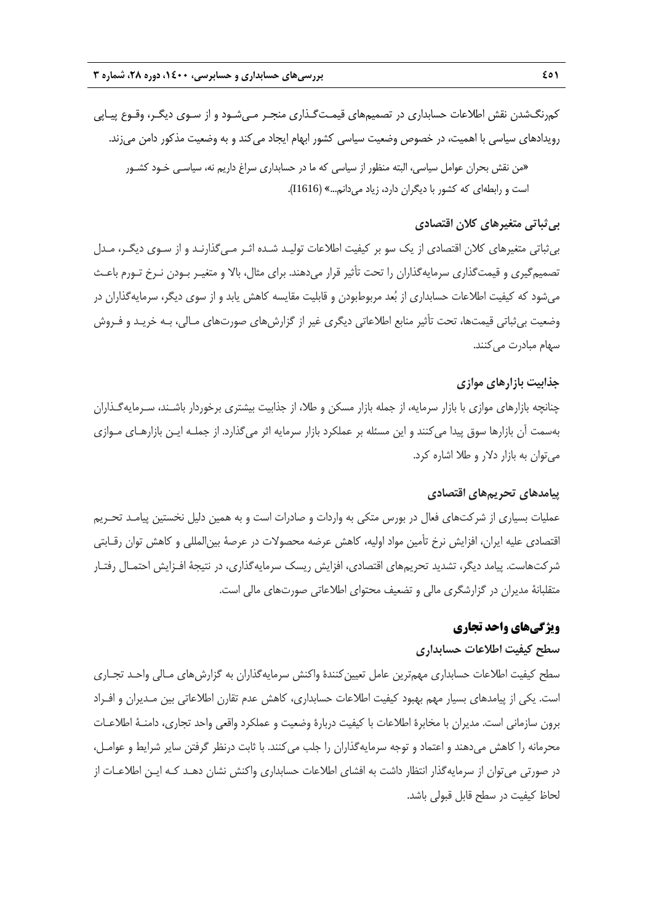كمرنگشدن نقش اطلاعات حسابداري در تصميمهاي قيمـتگـذاري منجـر مـيشـود و از سـوي ديگـر، وقـوع پيـاپي رويدادهاي سياسي با اهميت، در خصوص وضعيت سياسي كشور ابهام ايجاد ميكند و به وضعيت مذكور دامن ميزند.

«من نقش بحران عوامل سياسي، البته منظور از سياسي كه ما در حسابداري سراغ داريم نه، سياسـي خـود كشـور است و رابطهاي كه كشور با ديگران دارد، زياد ميدانم...» (1616I(.

#### **بيثباتي متغيرهاي كلان اقتصادي**

بيثباتي متغيرهاي كلان اقتصادي از يك سو بر كيفيت اطلاعات توليـد شـده اثـر مـيگذارنـد و از سـوي ديگـر، مـدل تصميمگيري و قيمتگذاري سرمايهگذاران را تحت تأثير قرار ميدهند. براي مثال، بالا و متغيـر بـودن نـرخ تـورم باعـث ميشود كه كيفيت اطلاعات حسابداري از بعد مربوطبودن و قابليت مقايسه كاهش يابد و از سوي ديگر، سرمايهگذاران در وضعيت بيثباتي قيمتها، تحت تأثير منابع اطلاعاتي ديگري غير از گزارشهاي صورتهاي مـالي، بـه خريـد و فـروش سهام مبادرت مي كنند.

### **جذابيت بازارهاي موازي**

چنانچه بازارهاي موازي با بازار سرمايه، از جمله بازار مسكن و طلا، از جذابيت بيشتري برخوردار باشـند، سـرمايهگـذاران بهسمت آن بازارها سوق پيدا ميكنند و اين مسئله بر عملكرد بازار سرمايه اثر ميگذارد. از جملـه ايـن بازارهـاي مـوازي ميتوان به بازار دلار و طلا اشاره كرد.

#### **پيامدهاي تحريمهاي اقتصادي**

عمليات بسياري از شركتهاي فعال در بورس متكي به واردات و صادرات است و به همين دليل نخستين پيامـد تحـريم اقتصادي عليه ايران، افزايش نرخ تأمين مواد اوليه، كاهش عرضه محصولات در عرصة بينالمللي و كاهش توان رقـابتي شركتهاست. پيامد ديگر، تشديد تحريمهاي اقتصادي، افزايش ريسك سرمايهگذاري، در نتيجة افـزايش احتمـال رفتـار متقلبانة مديران در گزارشگري مالي و تضعيف محتواي اطلاعاتي صورتهاي مالي است.

#### **ويژگيهاي واحد تجاري**

#### **سطح كيفيت اطلاعات حسابداري**

سطح كيفيت اطلاعات حسابداري مهمترين عامل تعيين كنندهٔ واكنش سرمايهگذاران به گزارش هاي مـالي واحـد تجـاري است. يكي از پيامدهاي بسيار مهم بهبود كيفيت اطلاعات حسابداري، كاهش عدم تقارن اطلاعاتي بين مـديران و افـراد برون سازماني است. مديران با مخابرة اطلاعات با كيفيت دربارة وضعيت و عملكرد واقعي واحد تجاري، دامنـة اطلاعـات محرمانه را كاهش ميدهند و اعتماد و توجه سرمايهگذاران را جلب ميكنند. با ثابت درنظر گرفتن ساير شرايط و عوامـل، در صورتي ميتوان از سرمايهگذار انتظار داشت به افشاي اطلاعات حسابداري واكنش نشان دهـد كـه ايـن اطلاعـات از لحاظ كيفيت در سطح قابل قبولي باشد.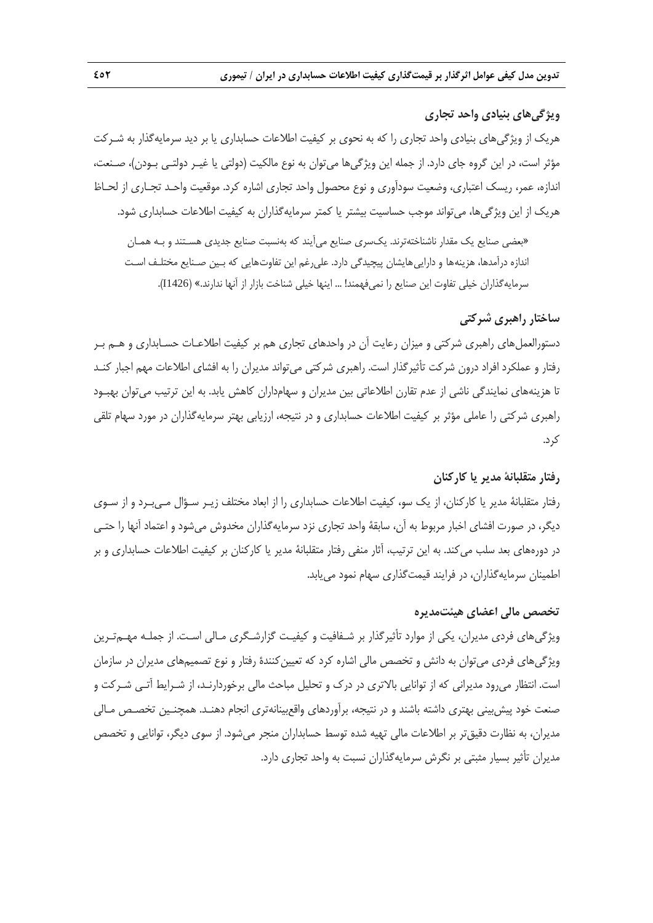## **ويژگيهاي بنيادي واحد تجاري**

هريك از ويژگيهاي بنيادي واحد تجاري را كه به نحوي بر كيفيت اطلاعات حسابداري يا بر ديد سرمايهگذار به شـركت مؤثر است، در اين گروه جاي دارد. از جمله اين ويژگيها ميتوان به نوع مالكيت (دولتي يا غيـر دولتـي بـودن)، صـنعت، اندازه، عمر، ريسك اعتباري، وضعيت سودآوري و نوع محصول واحد تجاري اشاره كرد. موقعيت واحـد تجـاري از لحـاظ هريك از اين ويژگيها، ميتواند موجب حساسيت بيشتر يا كمتر سرمايهگذاران به كيفيت اطلاعات حسابداري شود.

«بعضي صنايع يك مقدار ناشناختهترند. يكسري صنايع ميآيند كه بهنسبت صنايع جديدي هسـتند و بـه همـان اندازه درآمدها، هزينهها و داراييهايشان پيچيدگي دارد. عليرغم اين تفاوتهايي كه بـين صـنايع مختلـف اسـت سرمايهگذاران خيلي تفاوت اين صنايع را نميفهمند! ... اينها خيلي شناخت بازار از آنها ندارند.» (1426I(.

### **ساختار راهبري شركتي**

دستورالعملهاي راهبري شركتي و ميزان رعايت آن در واحدهاي تجاري هم بر كيفيت اطلاعـات حسـابداري و هـم بـر رفتار و عملكرد افراد درون شركت تأثيرگذار است. راهبري شركتي ميتواند مديران را به افشاي اطلاعات مهم اجبار كنـد تا هزينههاي نمايندگي ناشي از عدم تقارن اطلاعاتي بين مديران و سهامداران كاهش يابد. به اين ترتيب ميتوان بهبـود راهبري شركتي را عاملي مؤثر بر كيفيت اطلاعات حسابداري و در نتيجه، ارزيابي بهتر سرمايهگذاران در مورد سهام تلقي كرد.

#### **رفتار متقلبانة مدير يا كاركنان**

رفتار متقلبانة مدير يا كاركنان، از يك سو، كيفيت اطلاعات حسابداري را از ابعاد مختلف زيـر سـؤال مـيبـرد و از سـوي ديگر، در صورت افشاي اخبار مربوط به آن، سابقة واحد تجاري نزد سرمايهگذاران مخدوش ميشود و اعتماد آنها را حتـي در دورههاي بعد سلب ميكند. به اين ترتيب، آثار منفي رفتار متقلبانة مدير يا كاركنان بر كيفيت اطلاعات حسابداري و بر اطمينان سرمايهگذاران، در فرايند قيمتگذاري سهام نمود مييابد.

#### **تخصص مالي اعضاي هيئتمديره**

ويژگيهاي فردي مديران، يكي از موارد تأثيرگذار بر شـفافيت و كيفيـت گزارشـگري مـالي اسـت. از جملـه مهـمتـرين ويژگيهاي فردي ميتوان به دانش و تخصص مالي اشاره كرد كه تعيينكنندة رفتار و نوع تصميمهاي مديران در سازمان است. انتظار ميرود مديراني كه از توانايي بالاتري در درك و تحليل مباحث مالي برخوردارنـد، از شـرايط آتـي شـركت و صنعت خود پيشبيني بهتري داشته باشند و در نتيجه، برآوردهاي واقعبينانهتري انجام دهنـد. همچنـين تخصـص مـالي مديران، به نظارت دقيقتر بر اطلاعات مالي تهيه شده توسط حسابداران منجر ميشود. از سوي ديگر، توانايي و تخصص مديران تأثير بسيار مثبتي بر نگرش سرمايهگذاران نسبت به واحد تجاري دارد.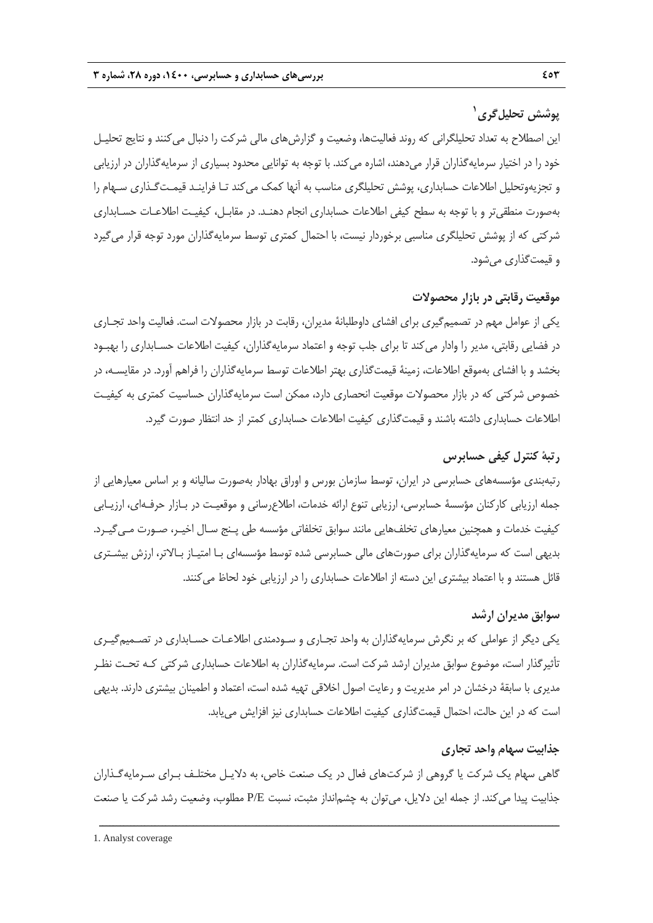# **<sup>1</sup> پوشش تحليلگري**

اين اصطلاح به تعداد تحليلگراني كه روند فعاليتها، وضعيت و گزارشهاي مالي شركت را دنبال ميكنند و نتايج تحليـل خود را در اختيار سرمايهگذاران قرار ميدهند، اشاره ميكند. با توجه به توانايي محدود بسياري از سرمايهگذاران در ارزيابي و تجزيهوتحليل اطلاعات حسابداري، پوشش تحليلگري مناسب به آنها كمك ميكند تـا فراينـد قيمـتگـذاري سـهام را بهصورت منطقيتر و با توجه به سطح كيفي اطلاعات حسابداري انجام دهنـد. در مقابـل، كيفيـت اطلاعـات حسـابداري شركتي كه از پوشش تحليلگري مناسبي برخوردار نيست، با احتمال كمتري توسط سرمايهگذاران مورد توجه قرار ميگيرد و قيمتگذاري ميشود.

### **موقعيت رقابتي در بازار محصولات**

يكي از عوامل مهم در تصميمگيري براي افشاي داوطلبانة مديران، رقابت در بازار محصولات است. فعاليت واحد تجـاري در فضايي رقابتي، مدير را وادار ميكند تا براي جلب توجه و اعتماد سرمايهگذاران، كيفيت اطلاعات حسـابداري را بهبـود بخشد و با افشاي بهموقع اطلاعات، زمينة قيمتگذاري بهتر اطلاعات توسط سرمايهگذاران را فراهم آورد. در مقايسـه، در خصوص شركتي كه در بازار محصولات موقعيت انحصاري دارد، ممكن است سرمايهگذاران حساسيت كمتري به كيفيـت اطلاعات حسابداري داشته باشند و قيمتگذاري كيفيت اطلاعات حسابداري كمتر از حد انتظار صورت گيرد.

### **رتبة كنترل كيفي حسابرس**

رتبهبندي مؤسسههاي حسابرسي در ايران، توسط سازمان بورس و اوراق بهادار بهصورت ساليانه و بر اساس معيارهايي از جمله ارزيابي كاركنان مؤسسة حسابرسي، ارزيابي تنوع ارائه خدمات، اطلاعرساني و موقعيـت در بـازار حرفـهاي، ارزيـابي كيفيت خدمات و همچنين معيارهاي تخلفهايي مانند سوابق تخلفاتي مؤسسه طي پـنج سـال اخيـر، صـورت مـيگيـرد. بديهي است كه سرمايهگذاران براي صورتهاي مالي حسابرسي شده توسط مؤسسهاي بـا امتيـاز بـالاتر، ارزش بيشـتري قائل هستند و با اعتماد بيشتري اين دسته از اطلاعات حسابداري را در ارزيابي خود لحاظ ميكنند.

#### **سوابق مديران ارشد**

يكي ديگر از عواملي كه بر نگرش سرمايهگذاران به واحد تجـاري و سـودمندي اطلاعـات حسـابداري در تصـميمگيـري تأثيرگذار است، موضوع سوابق مديران ارشد شركت است. سرمايهگذاران به اطلاعات حسابداري شركتي كـه تحـت نظـر مديري با سابقة درخشان در امر مديريت و رعايت اصول اخلاقي تهيه شده است، اعتماد و اطمينان بيشتري دارند. بديهي است كه در اين حالت، احتمال قيمتگذاري كيفيت اطلاعات حسابداري نيز افزايش مييابد.

#### **جذابيت سهام واحد تجاري**

گاهي سهام يك شركت يا گروهي از شركتهاي فعال در يك صنعت خاص، به دلايـل مختلـف بـراي سـرمايهگـذاران جذابيت پيدا ميكند. از جمله اين دلايل، ميتوان به چشمانداز مثبت، نسبت E/P مطلوب، وضعيت رشد شركت يا صنعت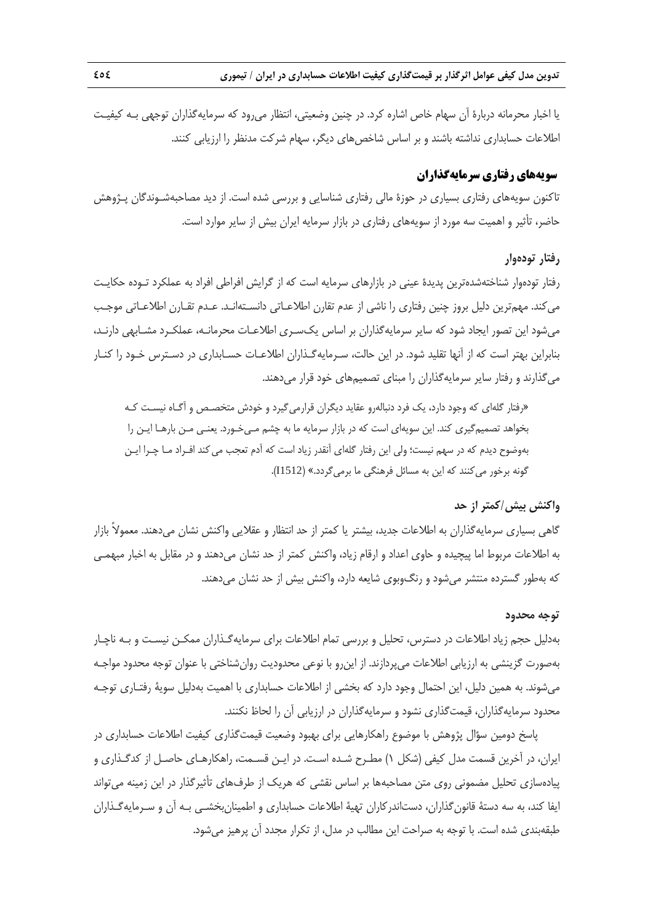**تدوين مدل كيفي عوامل اثرگذار بر قيمتگذاري كيفيت اطلاعات حسابداري در ايران / تيموري 454** 

يا اخبار محرمانه دربارة آن سهام خاص اشاره كرد. در چنين وضعيتي، انتظار ميرود كه سرمايهگذاران توجهي بـه كيفيـت اطلاعات حسابداري نداشته باشند و بر اساس شاخصهاي ديگر، سهام شركت مدنظر را ارزيابي كنند.

#### **سويههاي رفتاري سرمايهگذاران**

تاكنون سويههاي رفتاري بسياري در حوزة مالي رفتاري شناسايي و بررسي شده است. از ديد مصاحبهشـوندگان پـژوهش حاضر، تأثير و اهميت سه مورد از سويههاي رفتاري در بازار سرمايه ايران بيش از ساير موارد است.

#### **رفتار تودهوار**

رفتار تودهوار شناختهشدهترين پديدة عيني در بازارهاي سرمايه است كه از گرايش افراطي افراد به عملكرد تـوده حكايـت ميكند. مهمترين دليل بروز چنين رفتاري را ناشي از عدم تقارن اطلاعـاتي دانسـتهانـد. عـدم تقـارن اطلاعـاتي موجـب ميشود اين تصور ايجاد شود كه ساير سرمايهگذاران بر اساس يكسـري اطلاعـات محرمانـه، عملكـرد مشـابهي دارنـد، بنابراين بهتر است كه از آنها تقليد شود. در اين حالت، سـرمايهگـذاران اطلاعـات حسـابداري در دسـترس خـود را كنـار ميگذارند و رفتار ساير سرمايهگذاران را مبناي تصميمهاي خود قرار ميدهند.

«رفتار گلهاي كه وجود دارد، يك فرد دنبالهرو عقايد ديگران قرارميگيرد و خودش متخصـص و آگـاه نيسـت كـه بخواهد تصميمگيري كند. اين سويهاي است كه در بازار سرمايه ما به چشم مـيخـورد. يعنـي مـن بارهـا ايـن را بهوضوح ديدم كه در سهم نيست؛ ولي اين رفتار گلهاي آنقدر زياد است كه آدم تعجب ميكند افـراد مـا چـرا ايـن گونه برخور ميكنند كه اين به مسائل فرهنگي ما برميگردد.» (1512I(.

### **واكنش بيش/كمتر از حد**

گاهي بسياري سرمايهگذاران به اطلاعات جديد، بيشتر يا كمتر از حد انتظار و عقلايي واكنش نشان ميدهند. معمولاً بازار به اطلاعات مربوط اما پيچيده و حاوي اعداد و ارقام زياد، واكنش كمتر از حد نشان ميدهند و در مقابل به اخبار مبهمـي كه بهطور گسترده منتشر ميشود و رنگوبوي شايعه دارد، واكنش بيش از حد نشان ميدهند.

#### **توجه محدود**

بهدليل حجم زياد اطلاعات در دسترس، تحليل و بررسي تمام اطلاعات براي سرمايهگـذاران ممكـن نيسـت و بـه ناچـار بهصورت گزينشي به ارزيابي اطلاعات ميپردازند. از اينرو با نوعي محدوديت روانشناختي با عنوان توجه محدود مواجـه ميشوند. به همين دليل، اين احتمال وجود دارد كه بخشي از اطلاعات حسابداري با اهميت بهدليل سوية رفتـاري توجـه محدود سرمايهگذاران، قيمتگذاري نشود و سرمايهگذاران در ارزيابي آن را لحاظ نكنند.

پاسخ دومين سؤال پژوهش با موضوع راهكارهايي براي بهبود وضعيت قيمتگذاري كيفيت اطلاعات حسابداري در ايران، در آخرين قسمت مدل كيفي (شكل 1) مطـرح شـده اسـت. در ايـن قسـمت، راهكارهـاي حاصـل از كدگـذاري و پيادهسازي تحليل مضموني روي متن مصاحبهها بر اساس نقشي كه هريك از طرفهاي تأثيرگذار در اين زمينه ميتواند ايفا كند، به سه دستة قانونگذاران، دستاندركاران تهية اطلاعات حسابداري و اطمينانبخشـي بـه آن و سـرمايهگـذاران طبقهبندي شده است. با توجه به صراحت اين مطالب در مدل، از تكرار مجدد آن پرهيز ميشود.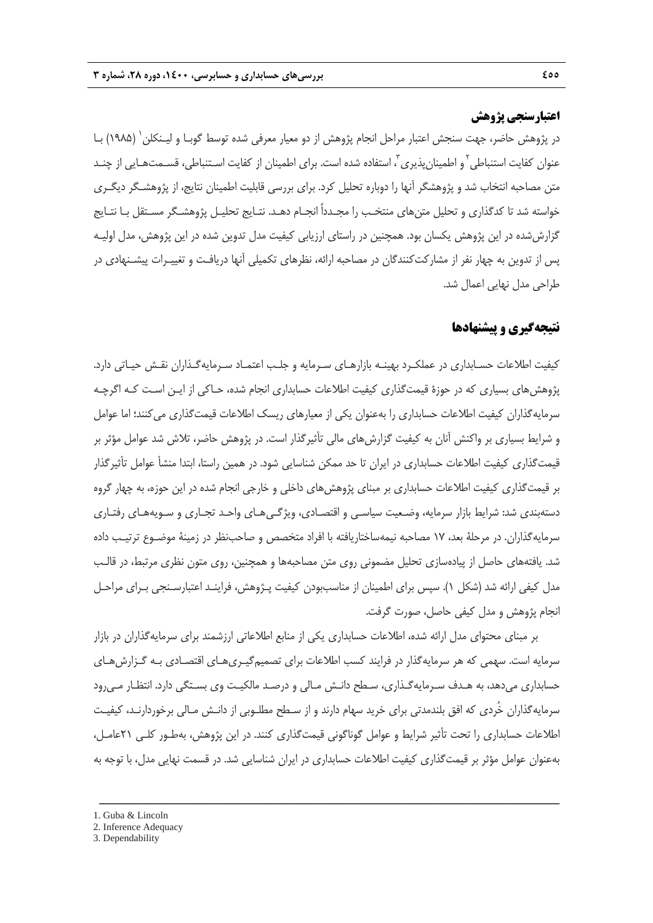### **اعتبارسنجي پژوهش**

در پژوهش حاضر، جهت سنجش اعتبار مراحل انجام پژوهش از دو معيار معرفي شده توسط گوبـا و ليـنكلن (1985) بـا <sup>1</sup> عنوان كفايت استنباطى<sup>٢</sup> و اطمينانِپذيرى"، استفاده شده است. براى اطمينان از كفايت اسـتنباطى، قسـمتهـايي از چنـد متن مصاحبه انتخاب شد و پژوهشگر آنها را دوباره تحليل كرد. براي بررسي قابليت اطمينان نتايج، از پژوهشـگر ديگـري خواسته شد تا كدگذاري و تحليل متنهاي منتخـب را مجـدداً انجـام دهـد. نتـايج تحليـل پژوهشـگر مسـتقل بـا نتـايج گزارششده در اين پژوهش يكسان بود. همچنين در راستاي ارزيابي كيفيت مدل تدوين شده در اين پژوهش، مدل اوليـه پس از تدوين به چهار نفر از مشاركتكنندگان در مصاحبه ارائه، نظرهاي تكميلي آنها دريافـت و تغييـرات پيشـنهادي در طراحي مدل نهايي اعمال شد.

### **نتيجهگيري و پيشنهادها**

كيفيت اطلاعات حسـابداري در عملكـرد بهينـه بازارهـاي سـرمايه و جلـب اعتمـاد سـرمايهگـذاران نقـش حيـاتي دارد. پژوهشهاي بسياري كه در حوزة قيمتگذاري كيفيت اطلاعات حسابداري انجام شده، حـاكي از ايـن اسـت كـه اگرچـه سرمايهگذاران كيفيت اطلاعات حسابداري را بهعنوان يكي از معيارهاي ريسك اطلاعات قيمتگذاري ميكنند؛ اما عوامل و شرايط بسياري بر واكنش آنان به كيفيت گزارشهاي مالي تأثيرگذار است. در پژوهش حاضر، تلاش شد عوامل مؤثر بر قيمتگذاري كيفيت اطلاعات حسابداري در ايران تا حد ممكن شناسايي شود. در همين راستا، ابتدا منشأ عوامل تأثيرگذار بر قيمتگذاري كيفيت اطلاعات حسابداري بر مبناي پژوهشهاي داخلي و خارجي انجام شده در اين حوزه، به چهار گروه دستهبندي شد: شرايط بازار سرمايه، وضـعيت سياسـي و اقتصـادي، ويژگـيهـاي واحـد تجـاري و سـويههـاي رفتـاري سرمايهگذاران. در مرحلة بعد، 17 مصاحبه نيمهساختاريافته با افراد متخصص و صاحبنظر در زمينة موضـوع ترتيـب داده شد. يافتههاي حاصل از پيادهسازي تحليل مضموني روي متن مصاحبهها و همچنين، روي متون نظري مرتبط، در قالـب مدل كيفي ارائه شد (شكل 1). سپس براي اطمينان از مناسببودن كيفيت پـژوهش، فراينـد اعتبارسـنجي بـراي مراحـل انجام پژوهش و مدل كيفي حاصل، صورت گرفت.

بر مبناي محتواي مدل ارائه شده، اطلاعات حسابداري يكي از منابع اطلاعاتي ارزشمند براي سرمايهگذاران در بازار سرمايه است. سهمي كه هر سرمايهگذار در فرايند كسب اطلاعات براي تصميمگيـريهـاي اقتصـادي بـه گـزارشهـاي حسابداري ميدهد، به هـدف سـرمايهگـذاري، سـطح دانـش مـالي و درصـد مالكيـت وي بسـتگي دارد. انتظـار مـيرود سرمايهگذاران خُردي كه افق بلندمدتي براي خريد سهام دارند و از سـطح مطلـوبي از دانـش مـالي برخوردارنـد، كيفيـت اطلاعات حسابداري را تحت تأثير شرايط و عوامل گوناگوني قيمتگذاري كنند. در اين پژوهش، بهطـور كلـي 21عامـل، بهعنوان عوامل مؤثر بر قيمتگذاري كيفيت اطلاعات حسابداري در ايران شناسايي شد. در قسمت نهايي مدل، با توجه به

- 1. Guba & Lincoln
- 2. Inference Adequacy
- 3. Dependability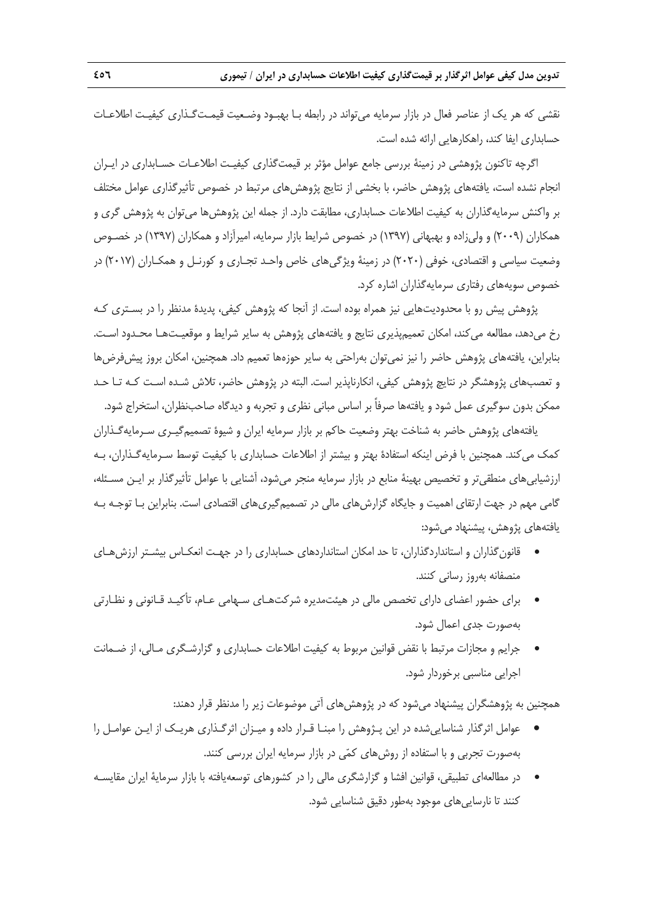نقشي كه هر يك از عناصر فعال در بازار سرمايه ميتواند در رابطه بـا بهبـود وضـعيت قيمـتگـذاري كيفيـت اطلاعـات حسابداري ايفا كند، راهكارهايي ارائه شده است.

اگرچه تاكنون پژوهشي در زمينة بررسي جامع عوامل مؤثر بر قيمتگذاري كيفيـت اطلاعـات حسـابداري در ايـران انجام نشده است، يافتههاي پژوهش حاضر، با بخشي از نتايج پژوهشهاي مرتبط در خصوص تأثيرگذاري عوامل مختلف بر واكنش سرمايهگذاران به كيفيت اطلاعات حسابداري، مطابقت دارد. از جمله اين پژوهشها ميتوان به پژوهش گري و همكاران (2009) و وليزاده و بهبهاني (1397) در خصوص شرايط بازار سرمايه، اميرآزاد و همكاران (1397) در خصـوص وضعيت سياسي و اقتصادي، خوفي (2020) در زمينة ويژگيهاي خاص واحـد تجـاري و كورنـل و همكـاران (2017) در خصوص سويههاي رفتاري سرمايهگذاران اشاره كرد.

پژوهش پيش رو با محدوديتهايي نيز همراه بوده است. از آنجا كه پژوهش كيفي، پديدة مدنظر را در بسـتري كـه رخ ميدهد، مطالعه ميكند، امكان تعميمپذيري نتايج و يافتههاي پژوهش به ساير شرايط و موقعيـتهـا محـدود اسـت. بنابراين، يافتههاي پژوهش حاضر را نيز نمي توان بهراحتي به ساير حوزهها تعميم داد. همچنين، امكان بروز پيش فرضها و تعصبهاي پژوهشگر در نتايچ پژوهش كيفي، انكارناپذير است. البته در پژوهش حاضر، تلاش شـده اسـت كـه تـا حـد ممكن بدون سوگيري عمل شود و يافتهها صرفاً بر اساس مباني نظري و تجربه و ديدگاه صاحبنظران، استخراج شود.

يافتههاي پژوهش حاضر به شناخت بهتر وضعيت حاكم بر بازار سرمايه ايران و شيوة تصميمگيـري سـرمايهگـذاران كمك ميكند. همچنين با فرض اينكه استفادة بهتر و بيشتر از اطلاعات حسابداري با كيفيت توسط سـرمايهگـذاران، بـه ارزشيابيهاي منطقيتر و تخصيص بهينة منابع در بازار سرمايه منجر ميشود، آشنايي با عوامل تأثيرگذار بر ايـن مسـئله، گامي مهم در جهت ارتقاي اهميت و جايگاه گزارشهاي مالي در تصميمگيريهاي اقتصادي است. بنابراين بـا توجـه بـه يافتههاي پژوهش، پيشنهاد ميشود:

- قانونگذاران و استانداردگذاران، تا حد امكان استانداردهاي حسابداري را در جهـت انعكـاس بيشـتر ارزشهـاي منصفانه بهروز رساني كنند.
- براي حضور اعضاي داراي تخصص مالي در هيئتمديره شركتهـاي سـهامي عـام، تأكيـد قـانوني و نظـارتي بهصورت جدي اعمال شود.
- جرايم و مجازات مرتبط با نقض قوانين مربوط به كيفيت اطلاعات حسابداري و گزارشـگري مـالي، از ضـمانت اجرايي مناسبي برخوردار شود.

همچنين به پژوهشگران پيشنهاد ميشود كه در پژوهشهاي آتي موضوعات زير را مدنظر قرار دهند:

- عوامل اثرگذار شناساييشده در اين پـژوهش را مبنـا قـرار داده و ميـزان اثرگـذاري هريـك از ايـن عوامـل را بهصورت تجربي و با استفاده از روشهاي كمي در بازار سرمايه ايران بررسي كنند.
- در مطالعهاي تطبيقي، قوانين افشا و گزارشگري مالي را در كشورهاي توسعهيافته با بازار سرماية ايران مقايسـه كنند تا نارساييهاي موجود بهطور دقيق شناسايي شود.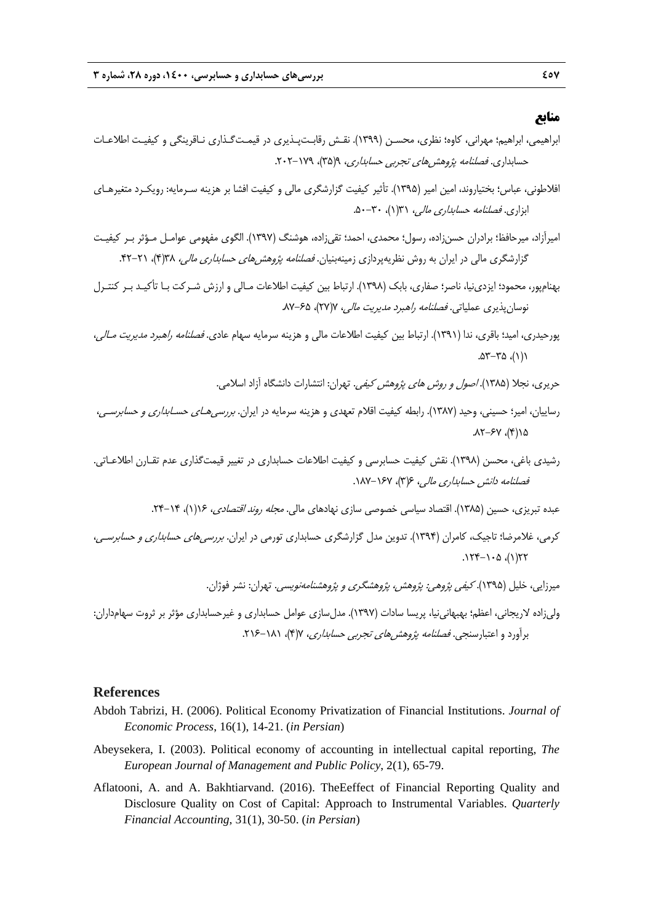### **منابع**

- ابراهيمي، ابراهيم؛ مهراني، كاوه؛ نظري، محسـن (1399). نقـش رقابـتپـذيري در قيمـتگـذاري نـاقرينگي و كيفيـت اطلاعـات حسابداري. فص*لنامه پژوهش هاي تجربي حسابداري، ۹(*۳۵)، ۱۷۹–۲۰۲.
- افلاطوني، عباس؛ بختياروند، امين امير (1395). تأثير كيفيت گزارشگري مالي و كيفيت افشا بر هزينه سـرمايه: رويكـرد متغيرهـاي ابزاري. فصلنامه حسابداري مالي، 31(1)، .50-30
- اميرآزاد، ميرحافظ؛ برادران حسنزاده، رسول؛ محمدي، احمد؛ تقيزاده، هوشنگ (1397). الگوي مفهومي عوامـل مـؤثر بـر كيفيـت گزارشگري مالي در ايران به روش نظريهپردازي زمينهبنيان. *فصلنامه پژوهش هاي حسابداري مالي، ١*٣(۴)، ٢١-۴۲.
- بهنامپور، محمود؛ ايزدينيا، ناصر؛ صفاري، بابك (1398). ارتباط بين كيفيت اطلاعات مـالي و ارزش شـركت بـا تأكيـد بـر كنتـرل نوسانپذيري عملياتي. *فصلنامه راهبرد مديريت مالي، ٢*٧١٧)، XY-۶۵.
- پورحيدري، اميد؛ باقري، ندا (1391). ارتباط بين كيفيت اطلاعات مالي و هزينه سرمايه سهام عادي. فصلنامه راهبرد مديريت مـالي،  $.07 - 70$ 
	- حريري، نجلا (1385). اصول <sup>و</sup> روش هاي پژوهش كيفي. تهران: انتشارات دانشگاه آزاد اسلامي.
- رساييان، امير؛ حسيني، وحيد (1387). رابطه كيفيت اقلام تعهدي و هزينه سرمايه در ايران. بررسيهـاي حسـابداري <sup>و</sup> حسابرسـي،  $31-54$ ,  $18-71$ .
- رشيدي باغي، محسن (1398). نقش كيفيت حسابرسي و كيفيت اطلاعات حسابداري در تغيير قيمتگذاري عدم تقـارن اطلاعـاتي. فصلنامه دانش حسابداري مالي، ۶۶(۳)، ۱۶۷–۱۸۷.
	- عبده تبريزي، حسين (١٣٨۵). اقتصاد سياسي خصوصي سازي نهادهاي مالي. *مجله روند اقتصادي*، ١٤(١)، ٦۴-٢۴.
- كرمي، غلامرضا؛ تاجيك، كامران (1394). تدوين مدل گزارشگري حسابداري تورمي در ايران. بررسيهاي حسابداري <sup>و</sup> حسابرسـي،  $177 - 1.0$  ، (1)77
	- ميرزايي، خليل (۱۳۹۵). *كيفي پژوهي: پژوهش، پژوهشگري و پژوهشنامهنويسي.* تهران: نشر فوژان.
- وليزاده لاريجاني، اعظم؛ بهبهانينيا، پريسا سادات (1397). مدلسازي عوامل حسابداري و غيرحسابداري مؤثر بر ثروت سهامداران: برآورد و اعتبارسنجي. *فصلنامه پژوهش هاي تجربي حسابداري*، ٧(۴)، ١٨١-٢١۶.

#### **References**

- Abdoh Tabrizi, H. (2006). Political Economy Privatization of Financial Institutions. *Journal of Economic Process*, 16(1), 14-21. (*in Persian*)
- Abeysekera, I. (2003). Political economy of accounting in intellectual capital reporting, *The European Journal of Management and Public Policy*, 2(1), 65-79.
- Aflatooni, A. and A. Bakhtiarvand. (2016). TheEeffect of Financial Reporting Quality and Disclosure Quality on Cost of Capital: Approach to Instrumental Variables. *Quarterly Financial Accounting*, 31(1), 30-50. (*in Persian*)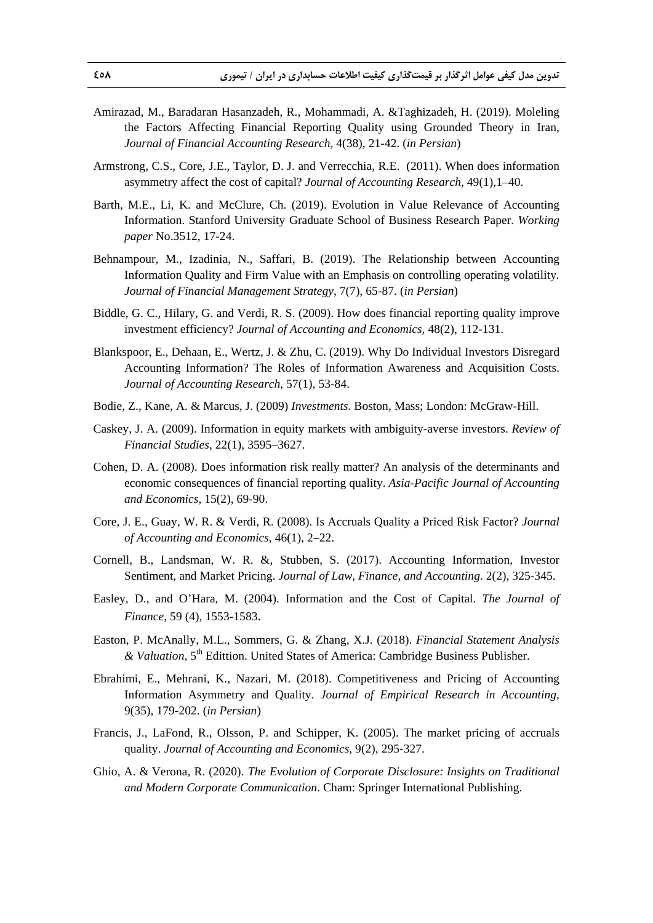- Amirazad, M., Baradaran Hasanzadeh, R., Mohammadi, A. &Taghizadeh, H. (2019). Moleling the Factors Affecting Financial Reporting Quality using Grounded Theory in Iran, *Journal of Financial Accounting Research*, 4(38), 21-42. (*in Persian*)
- Armstrong, C.S., Core, J.E., Taylor, D. J. and Verrecchia, R.E. (2011). When does information asymmetry affect the cost of capital? *Journal of Accounting Research*, 49(1),1–40.
- Barth, M.E., Li, K. and McClure, Ch. (2019). Evolution in Value Relevance of Accounting Information. Stanford University Graduate School of Business Research Paper. *Working paper* No.3512, 17-24.
- Behnampour, M., Izadinia, N., Saffari, B. (2019). The Relationship between Accounting Information Quality and Firm Value with an Emphasis on controlling operating volatility*. Journal of Financial Management Strategy*, 7(7), 65-87. (*in Persian*)
- Biddle, G. C., Hilary, G. and Verdi, R. S. (2009). How does financial reporting quality improve investment efficiency? *Journal of Accounting and Economics*, 48(2), 112-131.
- Blankspoor, E., Dehaan, E., Wertz, J. & Zhu, C. (2019). Why Do Individual Investors Disregard Accounting Information? The Roles of Information Awareness and Acquisition Costs. *Journal of Accounting Research,* 57(1), 53-84.
- Bodie, Z., Kane, A. & Marcus, J. (2009) *Investments*. Boston, Mass; London: McGraw-Hill.
- Caskey, J. A. (2009). Information in equity markets with ambiguity-averse investors. *Review of Financial Studies*, 22(1), 3595–3627.
- Cohen, D. A. (2008). Does information risk really matter? An analysis of the determinants and economic consequences of financial reporting quality. *Asia-Pacific Journal of Accounting and Economics,* 15(2), 69-90.
- Core, J. E., Guay, W. R. & Verdi, R. (2008). Is Accruals Quality a Priced Risk Factor? *Journal of Accounting and Economics*, 46(1), 2–22.
- Cornell, B., Landsman, W. R. &, Stubben, S. (2017). Accounting Information, Investor Sentiment, and Market Pricing. *Journal of Law, Finance, and Accounting*. 2(2), 325-345.
- Easley, D., and O'Hara, M. (2004). Information and the Cost of Capital. *The Journal of Finance,* 59 (4), 1553-1583.
- Easton, P. McAnally, M.L., Sommers, G. & Zhang, X.J. (2018). *Financial Statement Analysis & Valuation*, 5th Edittion. United States of America: Cambridge Business Publisher.
- Ebrahimi, E., Mehrani, K., Nazari, M. (2018). Competitiveness and Pricing of Accounting Information Asymmetry and Quality. *Journal of Empirical Research in Accounting*, 9(35), 179-202. (*in Persian*)
- Francis, J., LaFond, R., Olsson, P. and Schipper, K. (2005). The market pricing of accruals quality. *Journal of Accounting and Economics*, 9(2), 295-327.
- Ghio, A. & Verona, R. (2020). *The Evolution of Corporate Disclosure: Insights on Traditional and Modern Corporate Communication*. Cham: Springer International Publishing.